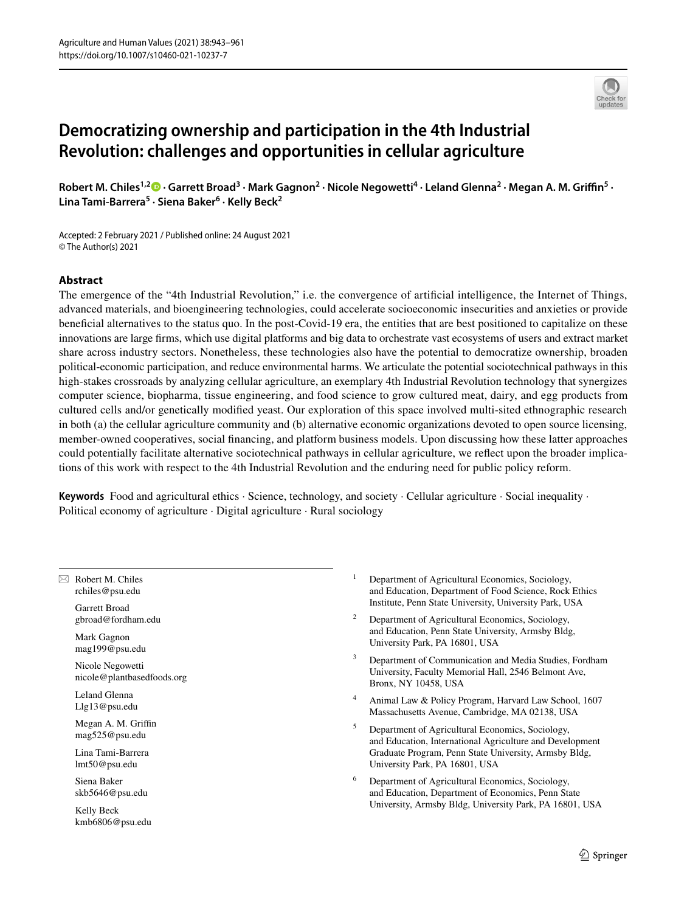# **Democratizing ownership and participation in the 4th Industrial Revolution: challenges and opportunities in cellular agriculture**

Robert M. Chiles<sup>1,[2](http://orcid.org/0000-0001-9283-0658)</sup><sup>®</sup> · Garrett Broad<sup>3</sup> · Mark Gagnon<sup>2</sup> · Nicole Negowetti<sup>4</sup> · Leland Glenna<sup>2</sup> · Megan A. M. Griffin<sup>5</sup> · **Lina Tami‑Barrera<sup>5</sup> · Siena Baker6 · Kelly Beck2**

Accepted: 2 February 2021 / Published online: 24 August 2021 © The Author(s) 2021

## **Abstract**

The emergence of the "4th Industrial Revolution," i.e. the convergence of artifcial intelligence, the Internet of Things, advanced materials, and bioengineering technologies, could accelerate socioeconomic insecurities and anxieties or provide benefcial alternatives to the status quo. In the post-Covid-19 era, the entities that are best positioned to capitalize on these innovations are large frms, which use digital platforms and big data to orchestrate vast ecosystems of users and extract market share across industry sectors. Nonetheless, these technologies also have the potential to democratize ownership, broaden political-economic participation, and reduce environmental harms. We articulate the potential sociotechnical pathways in this high-stakes crossroads by analyzing cellular agriculture, an exemplary 4th Industrial Revolution technology that synergizes computer science, biopharma, tissue engineering, and food science to grow cultured meat, dairy, and egg products from cultured cells and/or genetically modifed yeast. Our exploration of this space involved multi-sited ethnographic research in both (a) the cellular agriculture community and (b) alternative economic organizations devoted to open source licensing, member-owned cooperatives, social fnancing, and platform business models. Upon discussing how these latter approaches could potentially facilitate alternative sociotechnical pathways in cellular agriculture, we refect upon the broader implications of this work with respect to the 4th Industrial Revolution and the enduring need for public policy reform.

**Keywords** Food and agricultural ethics · Science, technology, and society · Cellular agriculture · Social inequality · Political economy of agriculture · Digital agriculture · Rural sociology

 $\boxtimes$  Robert M. Chiles rchiles@psu.edu

Garrett Broad gbroad@fordham.edu

Mark Gagnon mag199@psu.edu

Nicole Negowetti nicole@plantbasedfoods.org

Leland Glenna Llg13@psu.edu

Megan A. M. Griffin mag525@psu.edu

Lina Tami-Barrera lmt50@psu.edu

Siena Baker skb5646@psu.edu

Kelly Beck kmb6806@psu.edu

- <sup>1</sup> Department of Agricultural Economics, Sociology, and Education, Department of Food Science, Rock Ethics Institute, Penn State University, University Park, USA
- <sup>2</sup> Department of Agricultural Economics, Sociology, and Education, Penn State University, Armsby Bldg, University Park, PA 16801, USA
- <sup>3</sup> Department of Communication and Media Studies, Fordham University, Faculty Memorial Hall, 2546 Belmont Ave, Bronx, NY 10458, USA
- <sup>4</sup> Animal Law & Policy Program, Harvard Law School, 1607 Massachusetts Avenue, Cambridge, MA 02138, USA
- <sup>5</sup> Department of Agricultural Economics, Sociology, and Education, International Agriculture and Development Graduate Program, Penn State University, Armsby Bldg, University Park, PA 16801, USA
- <sup>6</sup> Department of Agricultural Economics, Sociology, and Education, Department of Economics, Penn State University, Armsby Bldg, University Park, PA 16801, USA

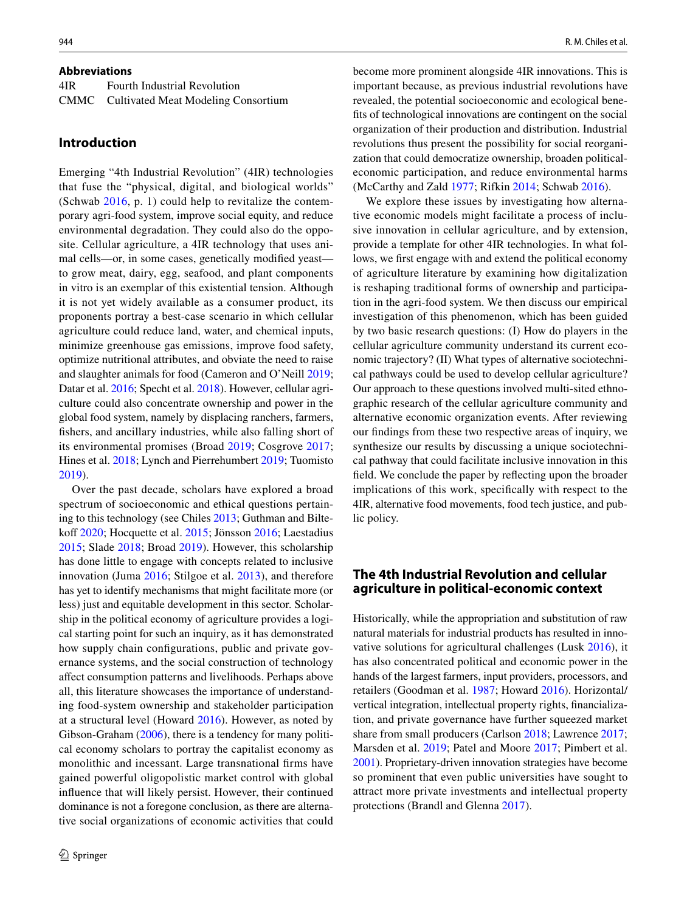#### **Abbreviations**

| 4IR | Fourth Industrial Revolution             |
|-----|------------------------------------------|
|     | CMMC Cultivated Meat Modeling Consortium |

## **Introduction**

Emerging "4th Industrial Revolution" (4IR) technologies that fuse the "physical, digital, and biological worlds" (Schwab [2016,](#page-16-0) p. 1) could help to revitalize the contemporary agri-food system, improve social equity, and reduce environmental degradation. They could also do the opposite. Cellular agriculture, a 4IR technology that uses animal cells—or, in some cases, genetically modifed yeast to grow meat, dairy, egg, seafood, and plant components in vitro is an exemplar of this existential tension. Although it is not yet widely available as a consumer product, its proponents portray a best-case scenario in which cellular agriculture could reduce land, water, and chemical inputs, minimize greenhouse gas emissions, improve food safety, optimize nutritional attributes, and obviate the need to raise and slaughter animals for food (Cameron and O'Neill [2019](#page-14-0); Datar et al. [2016](#page-14-1); Specht et al. [2018\)](#page-16-1). However, cellular agriculture could also concentrate ownership and power in the global food system, namely by displacing ranchers, farmers, fshers, and ancillary industries, while also falling short of its environmental promises (Broad [2019](#page-14-2); Cosgrove [2017](#page-14-3); Hines et al. [2018;](#page-15-0) Lynch and Pierrehumbert [2019](#page-15-1); Tuomisto [2019](#page-16-2)).

Over the past decade, scholars have explored a broad spectrum of socioeconomic and ethical questions pertaining to this technology (see Chiles [2013](#page-14-4); Guthman and Bilte-koff [2020;](#page-15-2) Hocquette et al. [2015;](#page-15-3) Jönsson [2016;](#page-15-4) Laestadius [2015](#page-15-5); Slade [2018](#page-16-3); Broad [2019\)](#page-14-2). However, this scholarship has done little to engage with concepts related to inclusive innovation (Juma [2016](#page-15-6); Stilgoe et al. [2013](#page-16-4)), and therefore has yet to identify mechanisms that might facilitate more (or less) just and equitable development in this sector. Scholarship in the political economy of agriculture provides a logical starting point for such an inquiry, as it has demonstrated how supply chain confgurations, public and private governance systems, and the social construction of technology afect consumption patterns and livelihoods. Perhaps above all, this literature showcases the importance of understanding food-system ownership and stakeholder participation at a structural level (Howard [2016\)](#page-15-7). However, as noted by Gibson-Graham [\(2006\)](#page-15-8), there is a tendency for many political economy scholars to portray the capitalist economy as monolithic and incessant. Large transnational frms have gained powerful oligopolistic market control with global infuence that will likely persist. However, their continued dominance is not a foregone conclusion, as there are alternative social organizations of economic activities that could become more prominent alongside 4IR innovations. This is important because, as previous industrial revolutions have revealed, the potential socioeconomic and ecological benefts of technological innovations are contingent on the social organization of their production and distribution. Industrial revolutions thus present the possibility for social reorganization that could democratize ownership, broaden politicaleconomic participation, and reduce environmental harms (McCarthy and Zald [1977](#page-16-5); Rifkin [2014;](#page-16-6) Schwab [2016](#page-16-0)).

We explore these issues by investigating how alternative economic models might facilitate a process of inclusive innovation in cellular agriculture, and by extension, provide a template for other 4IR technologies. In what follows, we frst engage with and extend the political economy of agriculture literature by examining how digitalization is reshaping traditional forms of ownership and participation in the agri-food system. We then discuss our empirical investigation of this phenomenon, which has been guided by two basic research questions: (I) How do players in the cellular agriculture community understand its current economic trajectory? (II) What types of alternative sociotechnical pathways could be used to develop cellular agriculture? Our approach to these questions involved multi-sited ethnographic research of the cellular agriculture community and alternative economic organization events. After reviewing our fndings from these two respective areas of inquiry, we synthesize our results by discussing a unique sociotechnical pathway that could facilitate inclusive innovation in this feld. We conclude the paper by refecting upon the broader implications of this work, specifcally with respect to the 4IR, alternative food movements, food tech justice, and public policy.

## **The 4th Industrial Revolution and cellular agriculture in political‑economic context**

Historically, while the appropriation and substitution of raw natural materials for industrial products has resulted in innovative solutions for agricultural challenges (Lusk [2016\)](#page-15-9), it has also concentrated political and economic power in the hands of the largest farmers, input providers, processors, and retailers (Goodman et al. [1987](#page-15-10); Howard [2016](#page-15-7)). Horizontal/ vertical integration, intellectual property rights, fnancialization, and private governance have further squeezed market share from small producers (Carlson [2018;](#page-14-5) Lawrence [2017](#page-15-11); Marsden et al. [2019](#page-15-12); Patel and Moore [2017;](#page-16-7) Pimbert et al. [2001\)](#page-16-8). Proprietary-driven innovation strategies have become so prominent that even public universities have sought to attract more private investments and intellectual property protections (Brandl and Glenna [2017\)](#page-14-6).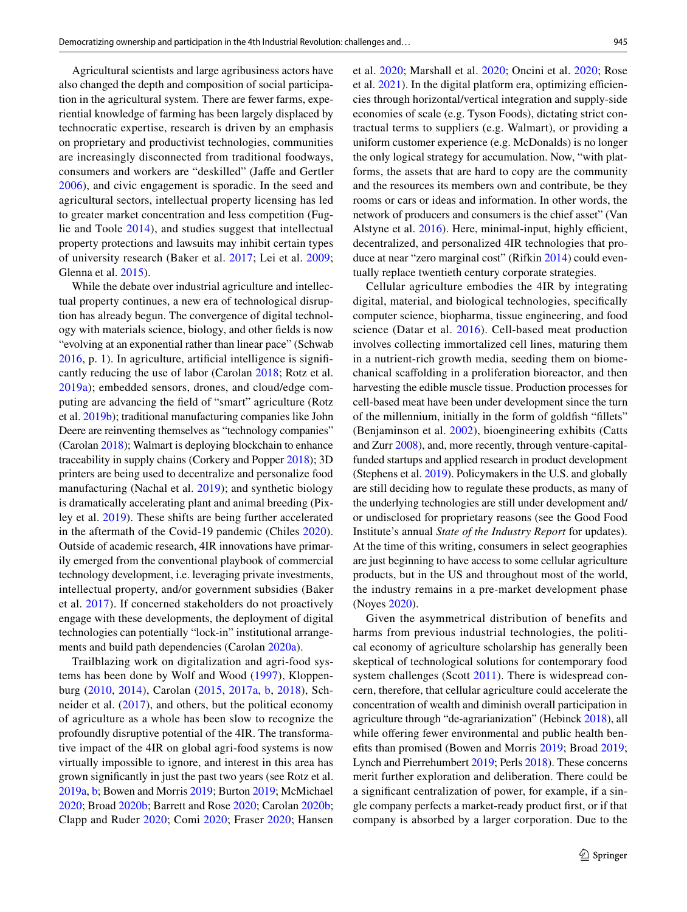Agricultural scientists and large agribusiness actors have also changed the depth and composition of social participation in the agricultural system. There are fewer farms, experiential knowledge of farming has been largely displaced by technocratic expertise, research is driven by an emphasis on proprietary and productivist technologies, communities are increasingly disconnected from traditional foodways, consumers and workers are "deskilled" (Jafe and Gertler [2006\)](#page-15-13), and civic engagement is sporadic. In the seed and agricultural sectors, intellectual property licensing has led to greater market concentration and less competition (Fuglie and Toole [2014](#page-14-7)), and studies suggest that intellectual property protections and lawsuits may inhibit certain types of university research (Baker et al. [2017](#page-13-0); Lei et al. [2009](#page-15-14); Glenna et al. [2015\)](#page-15-15).

While the debate over industrial agriculture and intellectual property continues, a new era of technological disruption has already begun. The convergence of digital technology with materials science, biology, and other felds is now "evolving at an exponential rather than linear pace" (Schwab [2016](#page-16-0), p. 1). In agriculture, artifcial intelligence is signifcantly reducing the use of labor (Carolan [2018;](#page-14-8) Rotz et al. [2019a](#page-16-9)); embedded sensors, drones, and cloud/edge computing are advancing the feld of "smart" agriculture (Rotz et al. [2019b](#page-16-10)); traditional manufacturing companies like John Deere are reinventing themselves as "technology companies" (Carolan [2018](#page-14-8)); Walmart is deploying blockchain to enhance traceability in supply chains (Corkery and Popper [2018\)](#page-14-9); 3D printers are being used to decentralize and personalize food manufacturing (Nachal et al. [2019\)](#page-16-11); and synthetic biology is dramatically accelerating plant and animal breeding (Pixley et al. [2019\)](#page-16-12). These shifts are being further accelerated in the aftermath of the Covid-19 pandemic (Chiles [2020](#page-14-10)). Outside of academic research, 4IR innovations have primarily emerged from the conventional playbook of commercial technology development, i.e. leveraging private investments, intellectual property, and/or government subsidies (Baker et al. [2017](#page-13-0)). If concerned stakeholders do not proactively engage with these developments, the deployment of digital technologies can potentially "lock-in" institutional arrangements and build path dependencies (Carolan [2020a](#page-14-11)).

Trailblazing work on digitalization and agri-food systems has been done by Wolf and Wood ([1997](#page-17-0)), Kloppenburg [\(2010](#page-15-16), [2014\)](#page-15-17), Carolan ([2015,](#page-14-12) [2017a,](#page-14-13) [b,](#page-14-14) [2018](#page-14-8)), Schneider et al. [\(2017\)](#page-16-13), and others, but the political economy of agriculture as a whole has been slow to recognize the profoundly disruptive potential of the 4IR. The transformative impact of the 4IR on global agri-food systems is now virtually impossible to ignore, and interest in this area has grown signifcantly in just the past two years (see Rotz et al. [2019a](#page-16-9), [b;](#page-16-10) Bowen and Morris [2019;](#page-13-1) Burton [2019;](#page-14-15) McMichael [2020](#page-16-14); Broad [2020b;](#page-14-16) Barrett and Rose [2020](#page-13-2); Carolan [2020b](#page-14-17); Clapp and Ruder [2020;](#page-14-18) Comi [2020](#page-14-19); Fraser [2020;](#page-14-20) Hansen et al. [2020;](#page-15-18) Marshall et al. [2020](#page-16-15); Oncini et al. [2020](#page-16-16); Rose et al.  $2021$ ). In the digital platform era, optimizing efficiencies through horizontal/vertical integration and supply-side economies of scale (e.g. Tyson Foods), dictating strict contractual terms to suppliers (e.g. Walmart), or providing a uniform customer experience (e.g. McDonalds) is no longer the only logical strategy for accumulation. Now, "with platforms, the assets that are hard to copy are the community and the resources its members own and contribute, be they rooms or cars or ideas and information. In other words, the network of producers and consumers is the chief asset" (Van Alstyne et al.  $2016$ ). Here, minimal-input, highly efficient, decentralized, and personalized 4IR technologies that produce at near "zero marginal cost" (Rifkin [2014](#page-16-6)) could eventually replace twentieth century corporate strategies.

Cellular agriculture embodies the 4IR by integrating digital, material, and biological technologies, specifcally computer science, biopharma, tissue engineering, and food science (Datar et al. [2016\)](#page-14-1). Cell-based meat production involves collecting immortalized cell lines, maturing them in a nutrient-rich growth media, seeding them on biomechanical scafolding in a proliferation bioreactor, and then harvesting the edible muscle tissue. Production processes for cell-based meat have been under development since the turn of the millennium, initially in the form of goldfsh "fllets" (Benjaminson et al. [2002](#page-13-3)), bioengineering exhibits (Catts and Zurr [2008\)](#page-14-21), and, more recently, through venture-capitalfunded startups and applied research in product development (Stephens et al. [2019\)](#page-16-19). Policymakers in the U.S. and globally are still deciding how to regulate these products, as many of the underlying technologies are still under development and/ or undisclosed for proprietary reasons (see the Good Food Institute's annual *State of the Industry Report* for updates). At the time of this writing, consumers in select geographies are just beginning to have access to some cellular agriculture products, but in the US and throughout most of the world, the industry remains in a pre-market development phase (Noyes [2020](#page-16-20)).

Given the asymmetrical distribution of benefits and harms from previous industrial technologies, the political economy of agriculture scholarship has generally been skeptical of technological solutions for contemporary food system challenges (Scott [2011](#page-16-21)). There is widespread concern, therefore, that cellular agriculture could accelerate the concentration of wealth and diminish overall participation in agriculture through "de-agrarianization" (Hebinck [2018](#page-15-19)), all while offering fewer environmental and public health benefts than promised (Bowen and Morris [2019](#page-13-1); Broad [2019](#page-14-2); Lynch and Pierrehumbert [2019;](#page-15-1) Perls [2018](#page-16-22)). These concerns merit further exploration and deliberation. There could be a signifcant centralization of power, for example, if a single company perfects a market-ready product frst, or if that company is absorbed by a larger corporation. Due to the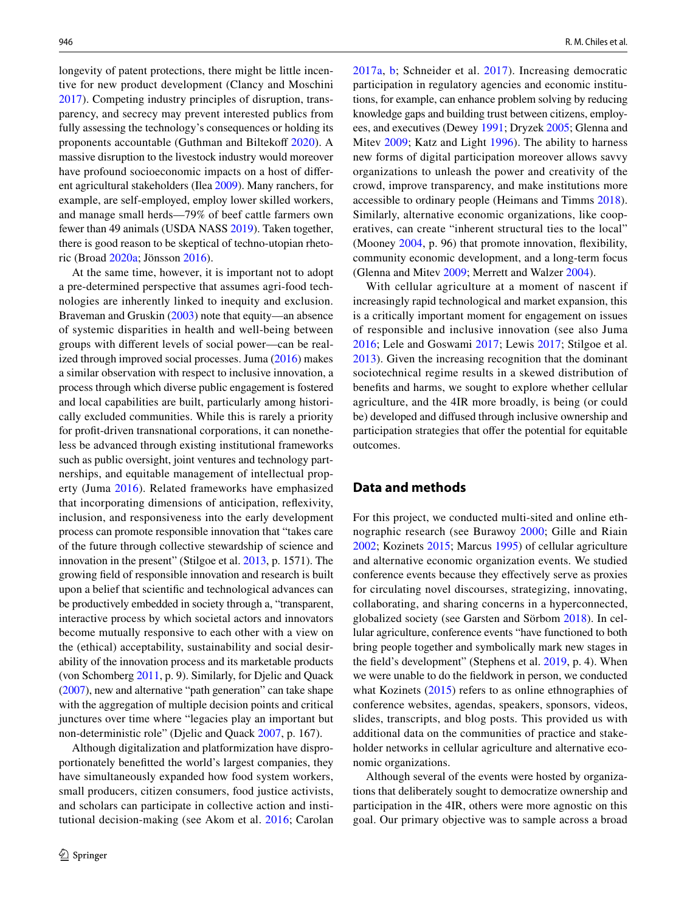longevity of patent protections, there might be little incentive for new product development (Clancy and Moschini [2017](#page-14-22)). Competing industry principles of disruption, transparency, and secrecy may prevent interested publics from fully assessing the technology's consequences or holding its proponents accountable (Guthman and Biltekoff [2020\)](#page-15-2). A massive disruption to the livestock industry would moreover have profound socioeconomic impacts on a host of diferent agricultural stakeholders (Ilea [2009](#page-15-20)). Many ranchers, for example, are self-employed, employ lower skilled workers, and manage small herds—79% of beef cattle farmers own fewer than 49 animals (USDA NASS [2019\)](#page-16-23). Taken together, there is good reason to be skeptical of techno-utopian rhetoric (Broad [2020a](#page-14-23); Jönsson [2016](#page-15-4)).

At the same time, however, it is important not to adopt a pre-determined perspective that assumes agri-food technologies are inherently linked to inequity and exclusion. Braveman and Gruskin ([2003\)](#page-14-24) note that equity—an absence of systemic disparities in health and well-being between groups with diferent levels of social power—can be realized through improved social processes. Juma [\(2016\)](#page-15-6) makes a similar observation with respect to inclusive innovation, a process through which diverse public engagement is fostered and local capabilities are built, particularly among historically excluded communities. While this is rarely a priority for proft-driven transnational corporations, it can nonetheless be advanced through existing institutional frameworks such as public oversight, joint ventures and technology partnerships, and equitable management of intellectual property (Juma [2016](#page-15-6)). Related frameworks have emphasized that incorporating dimensions of anticipation, refexivity, inclusion, and responsiveness into the early development process can promote responsible innovation that "takes care of the future through collective stewardship of science and innovation in the present" (Stilgoe et al. [2013,](#page-16-4) p. 1571). The growing feld of responsible innovation and research is built upon a belief that scientifc and technological advances can be productively embedded in society through a, "transparent, interactive process by which societal actors and innovators become mutually responsive to each other with a view on the (ethical) acceptability, sustainability and social desirability of the innovation process and its marketable products (von Schomberg [2011](#page-17-1), p. 9). Similarly, for Djelic and Quack [\(2007](#page-14-25)), new and alternative "path generation" can take shape with the aggregation of multiple decision points and critical junctures over time where "legacies play an important but non-deterministic role" (Djelic and Quack [2007,](#page-14-25) p. 167).

Although digitalization and platformization have disproportionately beneftted the world's largest companies, they have simultaneously expanded how food system workers, small producers, citizen consumers, food justice activists, and scholars can participate in collective action and institutional decision-making (see Akom et al. [2016;](#page-13-4) Carolan [2017a,](#page-14-13) [b](#page-14-14); Schneider et al. [2017\)](#page-16-13). Increasing democratic participation in regulatory agencies and economic institutions, for example, can enhance problem solving by reducing knowledge gaps and building trust between citizens, employees, and executives (Dewey [1991](#page-14-26); Dryzek [2005;](#page-14-27) Glenna and Mitev [2009;](#page-15-21) Katz and Light [1996](#page-15-22)). The ability to harness new forms of digital participation moreover allows savvy organizations to unleash the power and creativity of the crowd, improve transparency, and make institutions more accessible to ordinary people (Heimans and Timms [2018](#page-15-23)). Similarly, alternative economic organizations, like cooperatives, can create "inherent structural ties to the local" (Mooney [2004](#page-16-24), p. 96) that promote innovation, fexibility, community economic development, and a long-term focus (Glenna and Mitev [2009;](#page-15-21) Merrett and Walzer [2004](#page-16-25)).

With cellular agriculture at a moment of nascent if increasingly rapid technological and market expansion, this is a critically important moment for engagement on issues of responsible and inclusive innovation (see also Juma [2016;](#page-15-6) Lele and Goswami [2017;](#page-15-24) Lewis [2017;](#page-15-25) Stilgoe et al. [2013](#page-16-4)). Given the increasing recognition that the dominant sociotechnical regime results in a skewed distribution of benefts and harms, we sought to explore whether cellular agriculture, and the 4IR more broadly, is being (or could be) developed and difused through inclusive ownership and participation strategies that offer the potential for equitable outcomes.

# **Data and methods**

For this project, we conducted multi-sited and online ethnographic research (see Burawoy [2000](#page-14-28); Gille and Riain [2002](#page-15-26); Kozinets [2015;](#page-15-27) Marcus [1995\)](#page-15-28) of cellular agriculture and alternative economic organization events. We studied conference events because they efectively serve as proxies for circulating novel discourses, strategizing, innovating, collaborating, and sharing concerns in a hyperconnected, globalized society (see Garsten and Sörbom [2018](#page-15-29)). In cellular agriculture, conference events "have functioned to both bring people together and symbolically mark new stages in the feld's development" (Stephens et al. [2019,](#page-16-19) p. 4). When we were unable to do the feldwork in person, we conducted what Kozinets ([2015](#page-15-27)) refers to as online ethnographies of conference websites, agendas, speakers, sponsors, videos, slides, transcripts, and blog posts. This provided us with additional data on the communities of practice and stakeholder networks in cellular agriculture and alternative economic organizations.

Although several of the events were hosted by organizations that deliberately sought to democratize ownership and participation in the 4IR, others were more agnostic on this goal. Our primary objective was to sample across a broad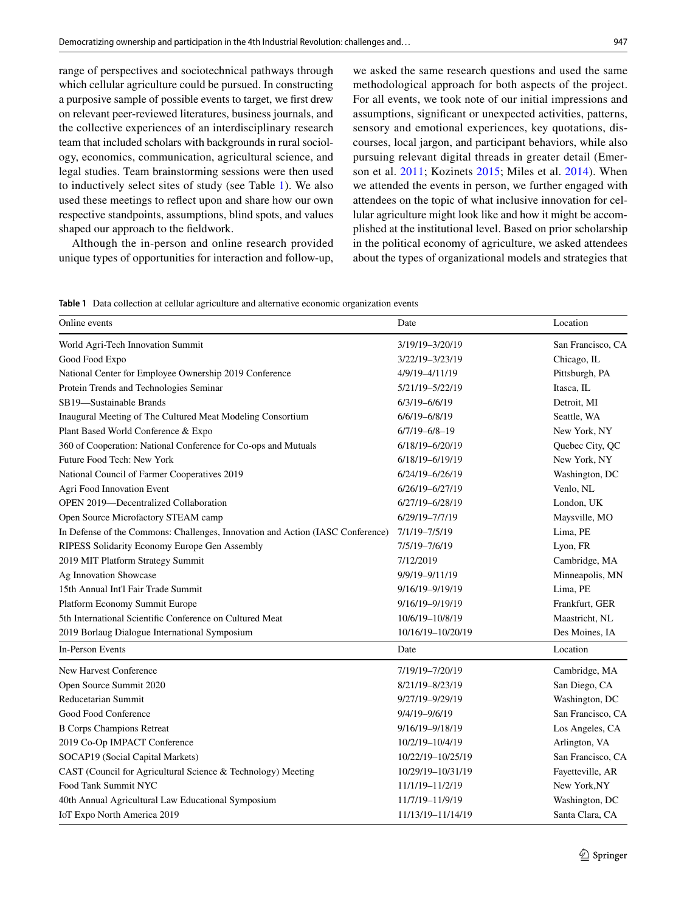range of perspectives and sociotechnical pathways through which cellular agriculture could be pursued. In constructing a purposive sample of possible events to target, we frst drew on relevant peer-reviewed literatures, business journals, and the collective experiences of an interdisciplinary research team that included scholars with backgrounds in rural sociology, economics, communication, agricultural science, and legal studies. Team brainstorming sessions were then used to inductively select sites of study (see Table [1\)](#page-4-0). We also used these meetings to refect upon and share how our own respective standpoints, assumptions, blind spots, and values shaped our approach to the feldwork.

Although the in-person and online research provided unique types of opportunities for interaction and follow-up, we asked the same research questions and used the same methodological approach for both aspects of the project. For all events, we took note of our initial impressions and assumptions, signifcant or unexpected activities, patterns, sensory and emotional experiences, key quotations, discourses, local jargon, and participant behaviors, while also pursuing relevant digital threads in greater detail (Emerson et al. [2011;](#page-14-29) Kozinets [2015;](#page-15-27) Miles et al. [2014\)](#page-16-26). When we attended the events in person, we further engaged with attendees on the topic of what inclusive innovation for cellular agriculture might look like and how it might be accomplished at the institutional level. Based on prior scholarship in the political economy of agriculture, we asked attendees about the types of organizational models and strategies that

<span id="page-4-0"></span>**Table 1** Data collection at cellular agriculture and alternative economic organization events

| Online events                                                                  | Date                | Location          |
|--------------------------------------------------------------------------------|---------------------|-------------------|
| World Agri-Tech Innovation Summit                                              | 3/19/19-3/20/19     | San Francisco, CA |
| Good Food Expo                                                                 | 3/22/19-3/23/19     | Chicago, IL       |
| National Center for Employee Ownership 2019 Conference                         | 4/9/19-4/11/19      | Pittsburgh, PA    |
| Protein Trends and Technologies Seminar                                        | 5/21/19-5/22/19     | Itasca, IL        |
| SB19-Sustainable Brands                                                        | 6/3/19-6/6/19       | Detroit, MI       |
| Inaugural Meeting of The Cultured Meat Modeling Consortium                     | 6/6/19-6/8/19       | Seattle, WA       |
| Plant Based World Conference & Expo                                            | $6/7/19 - 6/8 - 19$ | New York, NY      |
| 360 of Cooperation: National Conference for Co-ops and Mutuals                 | 6/18/19-6/20/19     | Quebec City, QC   |
| Future Food Tech: New York                                                     | 6/18/19-6/19/19     | New York, NY      |
| National Council of Farmer Cooperatives 2019                                   | 6/24/19-6/26/19     | Washington, DC    |
| Agri Food Innovation Event                                                     | 6/26/19-6/27/19     | Venlo, NL         |
| <b>OPEN 2019—Decentralized Collaboration</b>                                   | 6/27/19-6/28/19     | London, UK        |
| Open Source Microfactory STEAM camp                                            | 6/29/19-7/7/19      | Maysville, MO     |
| In Defense of the Commons: Challenges, Innovation and Action (IASC Conference) | 7/1/19-7/5/19       | Lima, PE          |
| RIPESS Solidarity Economy Europe Gen Assembly                                  | 7/5/19-7/6/19       | Lyon, FR          |
| 2019 MIT Platform Strategy Summit                                              | 7/12/2019           | Cambridge, MA     |
| Ag Innovation Showcase                                                         | 9/9/19-9/11/19      | Minneapolis, MN   |
| 15th Annual Int'l Fair Trade Summit                                            | 9/16/19-9/19/19     | Lima, PE          |
| Platform Economy Summit Europe                                                 | 9/16/19-9/19/19     | Frankfurt, GER    |
| 5th International Scientific Conference on Cultured Meat                       | 10/6/19-10/8/19     | Maastricht, NL    |
| 2019 Borlaug Dialogue International Symposium                                  | 10/16/19-10/20/19   | Des Moines, IA    |
| <b>In-Person Events</b>                                                        | Date                | Location          |
| New Harvest Conference                                                         | 7/19/19-7/20/19     | Cambridge, MA     |
| Open Source Summit 2020                                                        | 8/21/19-8/23/19     | San Diego, CA     |
| Reducetarian Summit                                                            | 9/27/19-9/29/19     | Washington, DC    |
| Good Food Conference                                                           | 9/4/19-9/6/19       | San Francisco, CA |
| <b>B Corps Champions Retreat</b>                                               | 9/16/19-9/18/19     | Los Angeles, CA   |
| 2019 Co-Op IMPACT Conference                                                   | 10/2/19-10/4/19     | Arlington, VA     |
| SOCAP19 (Social Capital Markets)                                               | 10/22/19-10/25/19   | San Francisco, CA |
| CAST (Council for Agricultural Science & Technology) Meeting                   | 10/29/19-10/31/19   | Fayetteville, AR  |
| Food Tank Summit NYC                                                           | 11/1/19-11/2/19     | New York, NY      |
| 40th Annual Agricultural Law Educational Symposium                             | 11/7/19-11/9/19     | Washington, DC    |
| IoT Expo North America 2019                                                    | 11/13/19-11/14/19   | Santa Clara, CA   |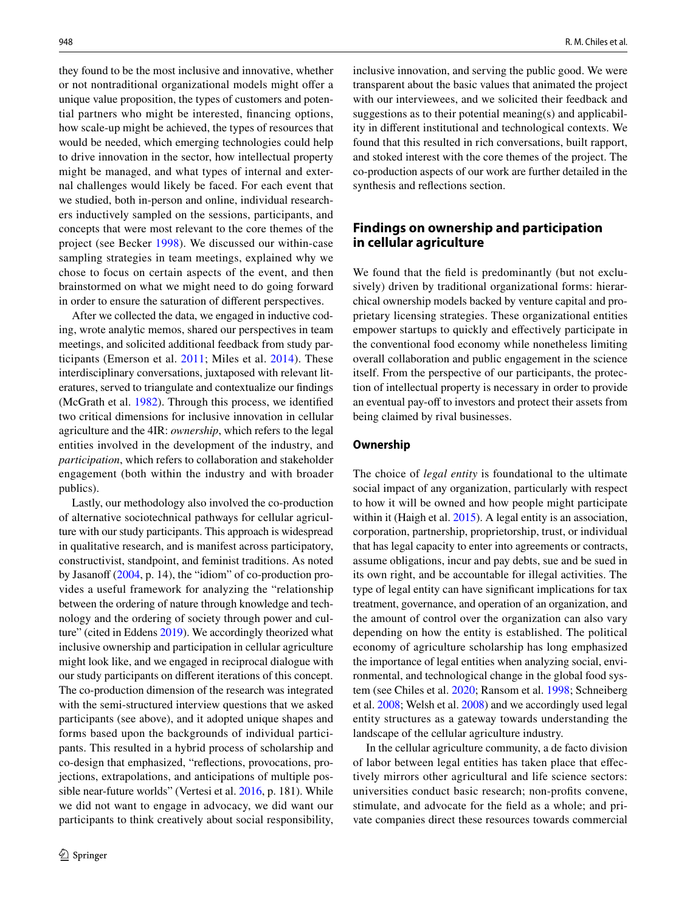they found to be the most inclusive and innovative, whether or not nontraditional organizational models might ofer a unique value proposition, the types of customers and potential partners who might be interested, fnancing options, how scale-up might be achieved, the types of resources that would be needed, which emerging technologies could help to drive innovation in the sector, how intellectual property might be managed, and what types of internal and external challenges would likely be faced. For each event that we studied, both in-person and online, individual researchers inductively sampled on the sessions, participants, and concepts that were most relevant to the core themes of the project (see Becker [1998\)](#page-13-5). We discussed our within-case sampling strategies in team meetings, explained why we chose to focus on certain aspects of the event, and then brainstormed on what we might need to do going forward in order to ensure the saturation of diferent perspectives.

After we collected the data, we engaged in inductive coding, wrote analytic memos, shared our perspectives in team meetings, and solicited additional feedback from study participants (Emerson et al. [2011;](#page-14-29) Miles et al. [2014](#page-16-26)). These interdisciplinary conversations, juxtaposed with relevant literatures, served to triangulate and contextualize our fndings (McGrath et al. [1982\)](#page-16-27). Through this process, we identifed two critical dimensions for inclusive innovation in cellular agriculture and the 4IR: *ownership*, which refers to the legal entities involved in the development of the industry, and *participation*, which refers to collaboration and stakeholder engagement (both within the industry and with broader publics).

Lastly, our methodology also involved the co-production of alternative sociotechnical pathways for cellular agriculture with our study participants. This approach is widespread in qualitative research, and is manifest across participatory, constructivist, standpoint, and feminist traditions. As noted by Jasanoff  $(2004, p. 14)$  $(2004, p. 14)$ , the "idiom" of co-production provides a useful framework for analyzing the "relationship between the ordering of nature through knowledge and technology and the ordering of society through power and cul-ture" (cited in Eddens [2019\)](#page-14-30). We accordingly theorized what inclusive ownership and participation in cellular agriculture might look like, and we engaged in reciprocal dialogue with our study participants on diferent iterations of this concept. The co-production dimension of the research was integrated with the semi-structured interview questions that we asked participants (see above), and it adopted unique shapes and forms based upon the backgrounds of individual participants. This resulted in a hybrid process of scholarship and co-design that emphasized, "refections, provocations, projections, extrapolations, and anticipations of multiple possible near-future worlds" (Vertesi et al. [2016](#page-17-2), p. 181). While we did not want to engage in advocacy, we did want our participants to think creatively about social responsibility,

inclusive innovation, and serving the public good. We were transparent about the basic values that animated the project with our interviewees, and we solicited their feedback and suggestions as to their potential meaning(s) and applicability in diferent institutional and technological contexts. We found that this resulted in rich conversations, built rapport, and stoked interest with the core themes of the project. The co-production aspects of our work are further detailed in the synthesis and refections section.

## **Findings on ownership and participation in cellular agriculture**

We found that the feld is predominantly (but not exclusively) driven by traditional organizational forms: hierarchical ownership models backed by venture capital and proprietary licensing strategies. These organizational entities empower startups to quickly and efectively participate in the conventional food economy while nonetheless limiting overall collaboration and public engagement in the science itself. From the perspective of our participants, the protection of intellectual property is necessary in order to provide an eventual pay-off to investors and protect their assets from being claimed by rival businesses.

### **Ownership**

The choice of *legal entity* is foundational to the ultimate social impact of any organization, particularly with respect to how it will be owned and how people might participate within it (Haigh et al. [2015\)](#page-15-31). A legal entity is an association, corporation, partnership, proprietorship, trust, or individual that has legal capacity to enter into agreements or contracts, assume obligations, incur and pay debts, sue and be sued in its own right, and be accountable for illegal activities. The type of legal entity can have signifcant implications for tax treatment, governance, and operation of an organization, and the amount of control over the organization can also vary depending on how the entity is established. The political economy of agriculture scholarship has long emphasized the importance of legal entities when analyzing social, environmental, and technological change in the global food system (see Chiles et al. [2020;](#page-14-31) Ransom et al. [1998](#page-16-28); Schneiberg et al. [2008](#page-16-29); Welsh et al. [2008](#page-17-3)) and we accordingly used legal entity structures as a gateway towards understanding the landscape of the cellular agriculture industry.

In the cellular agriculture community, a de facto division of labor between legal entities has taken place that efectively mirrors other agricultural and life science sectors: universities conduct basic research; non-profts convene, stimulate, and advocate for the feld as a whole; and private companies direct these resources towards commercial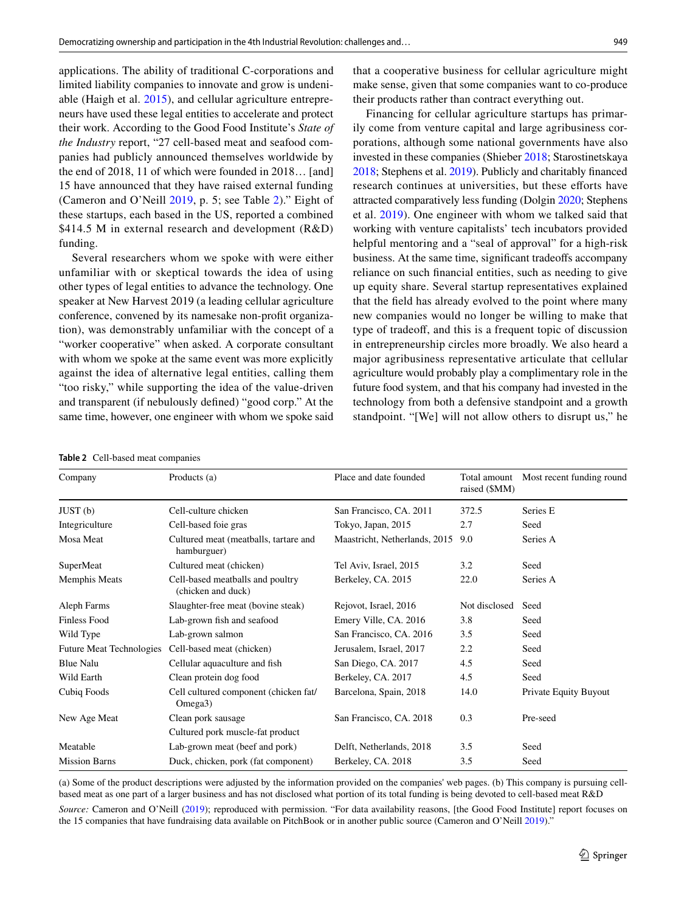applications. The ability of traditional C-corporations and limited liability companies to innovate and grow is undeniable (Haigh et al. [2015](#page-15-31)), and cellular agriculture entrepreneurs have used these legal entities to accelerate and protect their work. According to the Good Food Institute's *State of the Industry* report, "27 cell-based meat and seafood companies had publicly announced themselves worldwide by the end of 2018, 11 of which were founded in 2018… [and] 15 have announced that they have raised external funding (Cameron and O'Neill [2019,](#page-14-0) p. 5; see Table [2](#page-6-0))." Eight of these startups, each based in the US, reported a combined \$414.5 M in external research and development (R&D) funding.

Several researchers whom we spoke with were either unfamiliar with or skeptical towards the idea of using other types of legal entities to advance the technology. One speaker at New Harvest 2019 (a leading cellular agriculture conference, convened by its namesake non-proft organization), was demonstrably unfamiliar with the concept of a "worker cooperative" when asked. A corporate consultant with whom we spoke at the same event was more explicitly against the idea of alternative legal entities, calling them "too risky," while supporting the idea of the value-driven and transparent (if nebulously defned) "good corp." At the same time, however, one engineer with whom we spoke said that a cooperative business for cellular agriculture might make sense, given that some companies want to co-produce their products rather than contract everything out.

Financing for cellular agriculture startups has primarily come from venture capital and large agribusiness corporations, although some national governments have also invested in these companies (Shieber [2018;](#page-16-30) Starostinetskaya [2018;](#page-16-31) Stephens et al. [2019\)](#page-16-19). Publicly and charitably fnanced research continues at universities, but these efforts have attracted comparatively less funding (Dolgin [2020;](#page-14-32) Stephens et al. [2019\)](#page-16-19). One engineer with whom we talked said that working with venture capitalists' tech incubators provided helpful mentoring and a "seal of approval" for a high-risk business. At the same time, signifcant tradeofs accompany reliance on such fnancial entities, such as needing to give up equity share. Several startup representatives explained that the feld has already evolved to the point where many new companies would no longer be willing to make that type of tradeoff, and this is a frequent topic of discussion in entrepreneurship circles more broadly. We also heard a major agribusiness representative articulate that cellular agriculture would probably play a complimentary role in the future food system, and that his company had invested in the technology from both a defensive standpoint and a growth standpoint. "[We] will not allow others to disrupt us," he

<span id="page-6-0"></span>

| <b>Table 2</b> Cell-based meat companies |              |  |
|------------------------------------------|--------------|--|
| Company                                  | Products (a) |  |

| Company                         | Products (a)                                                  | Place and date founded        | Total amount<br>raised (\$MM) | Most recent funding round |
|---------------------------------|---------------------------------------------------------------|-------------------------------|-------------------------------|---------------------------|
| JUST(b)                         | Cell-culture chicken                                          | San Francisco, CA. 2011       | 372.5                         | Series E                  |
| Integriculture                  | Cell-based foie gras                                          | Tokyo, Japan, 2015            | 2.7                           | Seed                      |
| Mosa Meat                       | Cultured meat (meatballs, tartare and<br>hamburguer)          | Maastricht, Netherlands, 2015 | 9.0                           | Series A                  |
| SuperMeat                       | Cultured meat (chicken)                                       | Tel Aviv, Israel, 2015        | 3.2                           | Seed                      |
| Memphis Meats                   | Cell-based meatballs and poultry<br>(chicken and duck)        | Berkeley, CA. 2015            | 22.0                          | Series A                  |
| Aleph Farms                     | Slaughter-free meat (bovine steak)                            | Rejovot, Israel, 2016         | Not disclosed                 | Seed                      |
| <b>Finless Food</b>             | Lab-grown fish and seafood                                    | Emery Ville, CA. 2016         | 3.8                           | Seed                      |
| Wild Type                       | Lab-grown salmon                                              | San Francisco, CA. 2016       | 3.5                           | Seed                      |
| <b>Future Meat Technologies</b> | Cell-based meat (chicken)                                     | Jerusalem, Israel, 2017       | 2.2                           | Seed                      |
| <b>Blue Nalu</b>                | Cellular aquaculture and fish                                 | San Diego, CA. 2017           | 4.5                           | Seed                      |
| Wild Earth                      | Clean protein dog food                                        | Berkeley, CA. 2017            | 4.5                           | Seed                      |
| Cubiq Foods                     | Cell cultured component (chicken fat/<br>Omega <sub>3</sub> ) | Barcelona, Spain, 2018        | 14.0                          | Private Equity Buyout     |
| New Age Meat                    | Clean pork sausage                                            | San Francisco, CA. 2018       | 0.3                           | Pre-seed                  |
|                                 | Cultured pork muscle-fat product                              |                               |                               |                           |
| Meatable                        | Lab-grown meat (beef and pork)                                | Delft, Netherlands, 2018      | 3.5                           | Seed                      |
| <b>Mission Barns</b>            | Duck, chicken, pork (fat component)                           | Berkeley, CA. 2018            | 3.5                           | Seed                      |

(a) Some of the product descriptions were adjusted by the information provided on the companies' web pages. (b) This company is pursuing cellbased meat as one part of a larger business and has not disclosed what portion of its total funding is being devoted to cell-based meat R&D *Source:* Cameron and O'Neill [\(2019](#page-14-0)); reproduced with permission. "For data availability reasons, [the Good Food Institute] report focuses on the 15 companies that have fundraising data available on PitchBook or in another public source (Cameron and O'Neill [2019](#page-14-0))."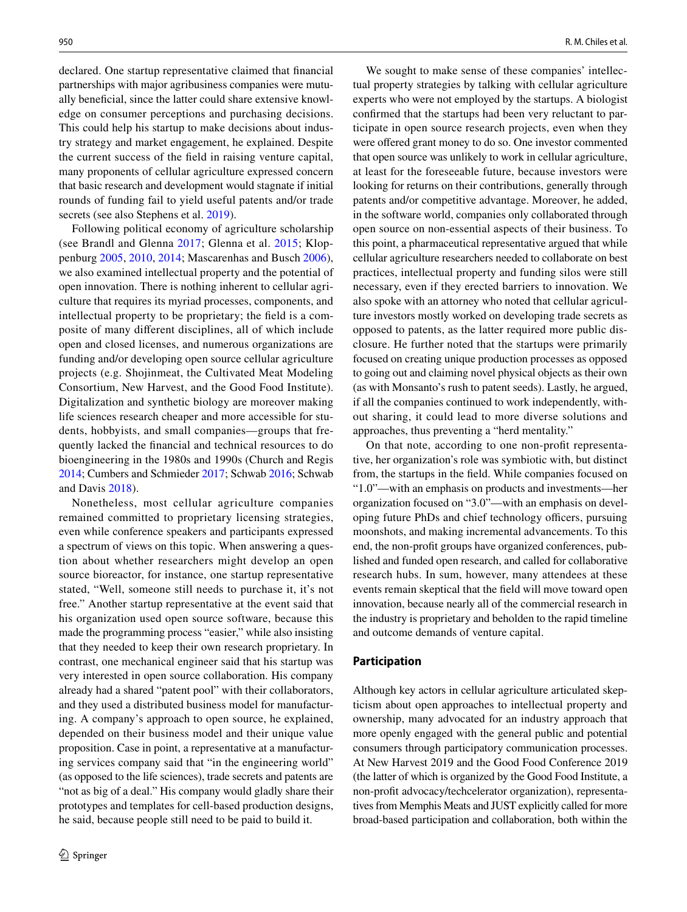declared. One startup representative claimed that fnancial partnerships with major agribusiness companies were mutually benefcial, since the latter could share extensive knowledge on consumer perceptions and purchasing decisions. This could help his startup to make decisions about industry strategy and market engagement, he explained. Despite the current success of the feld in raising venture capital, many proponents of cellular agriculture expressed concern that basic research and development would stagnate if initial rounds of funding fail to yield useful patents and/or trade secrets (see also Stephens et al. [2019](#page-16-19)).

Following political economy of agriculture scholarship (see Brandl and Glenna [2017;](#page-14-6) Glenna et al. [2015;](#page-15-15) Kloppenburg [2005,](#page-15-32) [2010](#page-15-16), [2014;](#page-15-17) Mascarenhas and Busch [2006](#page-16-32)), we also examined intellectual property and the potential of open innovation. There is nothing inherent to cellular agriculture that requires its myriad processes, components, and intellectual property to be proprietary; the feld is a composite of many diferent disciplines, all of which include open and closed licenses, and numerous organizations are funding and/or developing open source cellular agriculture projects (e.g. Shojinmeat, the Cultivated Meat Modeling Consortium, New Harvest, and the Good Food Institute). Digitalization and synthetic biology are moreover making life sciences research cheaper and more accessible for students, hobbyists, and small companies—groups that frequently lacked the fnancial and technical resources to do bioengineering in the 1980s and 1990s (Church and Regis [2014;](#page-14-33) Cumbers and Schmieder [2017;](#page-14-34) Schwab [2016](#page-16-0); Schwab and Davis [2018\)](#page-16-33).

Nonetheless, most cellular agriculture companies remained committed to proprietary licensing strategies, even while conference speakers and participants expressed a spectrum of views on this topic. When answering a question about whether researchers might develop an open source bioreactor, for instance, one startup representative stated, "Well, someone still needs to purchase it, it's not free." Another startup representative at the event said that his organization used open source software, because this made the programming process "easier," while also insisting that they needed to keep their own research proprietary. In contrast, one mechanical engineer said that his startup was very interested in open source collaboration. His company already had a shared "patent pool" with their collaborators, and they used a distributed business model for manufacturing. A company's approach to open source, he explained, depended on their business model and their unique value proposition. Case in point, a representative at a manufacturing services company said that "in the engineering world" (as opposed to the life sciences), trade secrets and patents are "not as big of a deal." His company would gladly share their prototypes and templates for cell-based production designs, he said, because people still need to be paid to build it.

We sought to make sense of these companies' intellectual property strategies by talking with cellular agriculture experts who were not employed by the startups. A biologist confrmed that the startups had been very reluctant to participate in open source research projects, even when they were offered grant money to do so. One investor commented that open source was unlikely to work in cellular agriculture, at least for the foreseeable future, because investors were looking for returns on their contributions, generally through patents and/or competitive advantage. Moreover, he added, in the software world, companies only collaborated through open source on non-essential aspects of their business. To this point, a pharmaceutical representative argued that while cellular agriculture researchers needed to collaborate on best practices, intellectual property and funding silos were still necessary, even if they erected barriers to innovation. We also spoke with an attorney who noted that cellular agriculture investors mostly worked on developing trade secrets as opposed to patents, as the latter required more public disclosure. He further noted that the startups were primarily focused on creating unique production processes as opposed to going out and claiming novel physical objects as their own (as with Monsanto's rush to patent seeds). Lastly, he argued, if all the companies continued to work independently, without sharing, it could lead to more diverse solutions and approaches, thus preventing a "herd mentality."

On that note, according to one non-proft representative, her organization's role was symbiotic with, but distinct from, the startups in the feld. While companies focused on "1.0"—with an emphasis on products and investments—her organization focused on "3.0"—with an emphasis on developing future PhDs and chief technology officers, pursuing moonshots, and making incremental advancements. To this end, the non-proft groups have organized conferences, published and funded open research, and called for collaborative research hubs. In sum, however, many attendees at these events remain skeptical that the feld will move toward open innovation, because nearly all of the commercial research in the industry is proprietary and beholden to the rapid timeline and outcome demands of venture capital.

#### **Participation**

Although key actors in cellular agriculture articulated skepticism about open approaches to intellectual property and ownership, many advocated for an industry approach that more openly engaged with the general public and potential consumers through participatory communication processes. At New Harvest 2019 and the Good Food Conference 2019 (the latter of which is organized by the Good Food Institute, a non-proft advocacy/techcelerator organization), representatives from Memphis Meats and JUST explicitly called for more broad-based participation and collaboration, both within the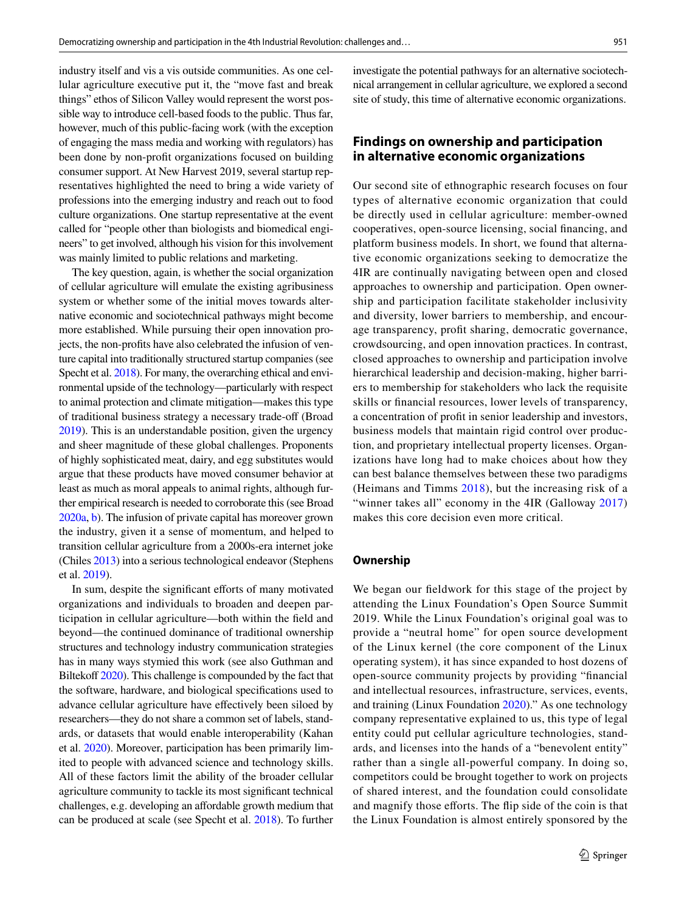industry itself and vis a vis outside communities. As one cellular agriculture executive put it, the "move fast and break things" ethos of Silicon Valley would represent the worst possible way to introduce cell-based foods to the public. Thus far, however, much of this public-facing work (with the exception of engaging the mass media and working with regulators) has been done by non-proft organizations focused on building consumer support. At New Harvest 2019, several startup representatives highlighted the need to bring a wide variety of professions into the emerging industry and reach out to food culture organizations. One startup representative at the event called for "people other than biologists and biomedical engineers" to get involved, although his vision for this involvement was mainly limited to public relations and marketing.

The key question, again, is whether the social organization of cellular agriculture will emulate the existing agribusiness system or whether some of the initial moves towards alternative economic and sociotechnical pathways might become more established. While pursuing their open innovation projects, the non-profts have also celebrated the infusion of venture capital into traditionally structured startup companies (see Specht et al. [2018](#page-16-1)). For many, the overarching ethical and environmental upside of the technology—particularly with respect to animal protection and climate mitigation—makes this type of traditional business strategy a necessary trade-off (Broad [2019\)](#page-14-2). This is an understandable position, given the urgency and sheer magnitude of these global challenges. Proponents of highly sophisticated meat, dairy, and egg substitutes would argue that these products have moved consumer behavior at least as much as moral appeals to animal rights, although further empirical research is needed to corroborate this (see Broad [2020a,](#page-14-23) [b](#page-14-16)). The infusion of private capital has moreover grown the industry, given it a sense of momentum, and helped to transition cellular agriculture from a 2000s-era internet joke (Chiles [2013\)](#page-14-4) into a serious technological endeavor (Stephens et al. [2019\)](#page-16-19).

In sum, despite the signifcant eforts of many motivated organizations and individuals to broaden and deepen participation in cellular agriculture—both within the feld and beyond—the continued dominance of traditional ownership structures and technology industry communication strategies has in many ways stymied this work (see also Guthman and Biltekoff [2020\)](#page-15-2). This challenge is compounded by the fact that the software, hardware, and biological specifcations used to advance cellular agriculture have efectively been siloed by researchers—they do not share a common set of labels, standards, or datasets that would enable interoperability (Kahan et al. [2020](#page-15-33)). Moreover, participation has been primarily limited to people with advanced science and technology skills. All of these factors limit the ability of the broader cellular agriculture community to tackle its most signifcant technical challenges, e.g. developing an afordable growth medium that can be produced at scale (see Specht et al. [2018](#page-16-1)). To further investigate the potential pathways for an alternative sociotechnical arrangement in cellular agriculture, we explored a second site of study, this time of alternative economic organizations.

# **Findings on ownership and participation in alternative economic organizations**

Our second site of ethnographic research focuses on four types of alternative economic organization that could be directly used in cellular agriculture: member-owned cooperatives, open-source licensing, social fnancing, and platform business models. In short, we found that alternative economic organizations seeking to democratize the 4IR are continually navigating between open and closed approaches to ownership and participation. Open ownership and participation facilitate stakeholder inclusivity and diversity, lower barriers to membership, and encourage transparency, proft sharing, democratic governance, crowdsourcing, and open innovation practices. In contrast, closed approaches to ownership and participation involve hierarchical leadership and decision-making, higher barriers to membership for stakeholders who lack the requisite skills or fnancial resources, lower levels of transparency, a concentration of proft in senior leadership and investors, business models that maintain rigid control over production, and proprietary intellectual property licenses. Organizations have long had to make choices about how they can best balance themselves between these two paradigms (Heimans and Timms [2018](#page-15-23)), but the increasing risk of a "winner takes all" economy in the 4IR (Galloway [2017\)](#page-14-35) makes this core decision even more critical.

### **Ownership**

We began our fieldwork for this stage of the project by attending the Linux Foundation's Open Source Summit 2019. While the Linux Foundation's original goal was to provide a "neutral home" for open source development of the Linux kernel (the core component of the Linux operating system), it has since expanded to host dozens of open-source community projects by providing "fnancial and intellectual resources, infrastructure, services, events, and training (Linux Foundation [2020](#page-15-34))." As one technology company representative explained to us, this type of legal entity could put cellular agriculture technologies, standards, and licenses into the hands of a "benevolent entity" rather than a single all-powerful company. In doing so, competitors could be brought together to work on projects of shared interest, and the foundation could consolidate and magnify those efforts. The flip side of the coin is that the Linux Foundation is almost entirely sponsored by the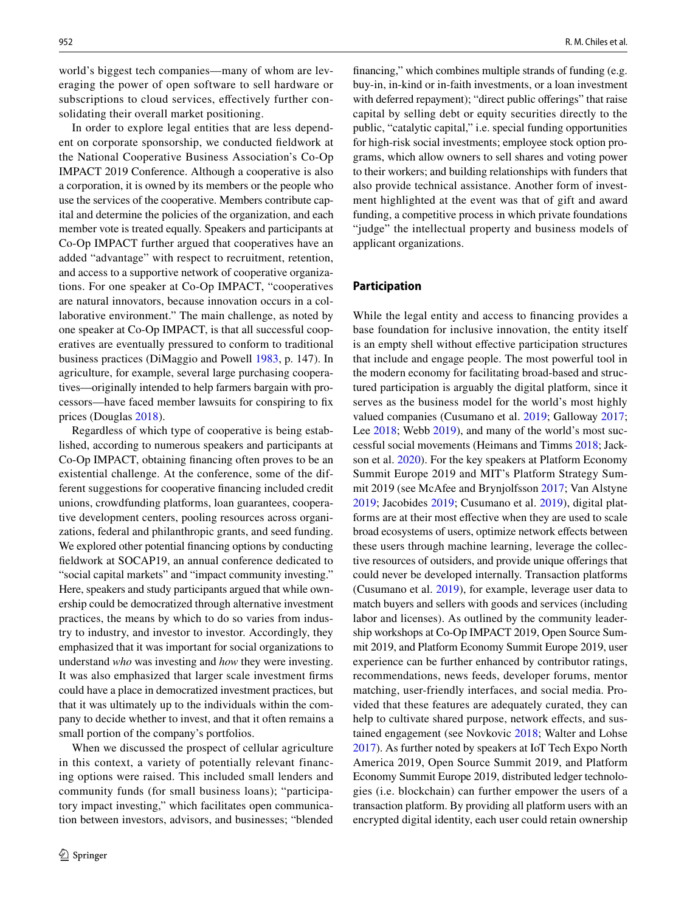world's biggest tech companies—many of whom are leveraging the power of open software to sell hardware or subscriptions to cloud services, efectively further consolidating their overall market positioning.

In order to explore legal entities that are less dependent on corporate sponsorship, we conducted feldwork at the National Cooperative Business Association's Co-Op IMPACT 2019 Conference. Although a cooperative is also a corporation, it is owned by its members or the people who use the services of the cooperative. Members contribute capital and determine the policies of the organization, and each member vote is treated equally. Speakers and participants at Co-Op IMPACT further argued that cooperatives have an added "advantage" with respect to recruitment, retention, and access to a supportive network of cooperative organizations. For one speaker at Co-Op IMPACT, "cooperatives are natural innovators, because innovation occurs in a collaborative environment." The main challenge, as noted by one speaker at Co-Op IMPACT, is that all successful cooperatives are eventually pressured to conform to traditional business practices (DiMaggio and Powell [1983,](#page-14-36) p. 147). In agriculture, for example, several large purchasing cooperatives—originally intended to help farmers bargain with processors—have faced member lawsuits for conspiring to fx prices (Douglas [2018](#page-14-37)).

Regardless of which type of cooperative is being established, according to numerous speakers and participants at Co-Op IMPACT, obtaining fnancing often proves to be an existential challenge. At the conference, some of the different suggestions for cooperative fnancing included credit unions, crowdfunding platforms, loan guarantees, cooperative development centers, pooling resources across organizations, federal and philanthropic grants, and seed funding. We explored other potential fnancing options by conducting feldwork at SOCAP19, an annual conference dedicated to "social capital markets" and "impact community investing." Here, speakers and study participants argued that while ownership could be democratized through alternative investment practices, the means by which to do so varies from industry to industry, and investor to investor. Accordingly, they emphasized that it was important for social organizations to understand *who* was investing and *how* they were investing. It was also emphasized that larger scale investment frms could have a place in democratized investment practices, but that it was ultimately up to the individuals within the company to decide whether to invest, and that it often remains a small portion of the company's portfolios.

When we discussed the prospect of cellular agriculture in this context, a variety of potentially relevant financing options were raised. This included small lenders and community funds (for small business loans); "participatory impact investing," which facilitates open communication between investors, advisors, and businesses; "blended fnancing," which combines multiple strands of funding (e.g. buy-in, in-kind or in-faith investments, or a loan investment with deferred repayment); "direct public offerings" that raise capital by selling debt or equity securities directly to the public, "catalytic capital," i.e. special funding opportunities for high-risk social investments; employee stock option programs, which allow owners to sell shares and voting power to their workers; and building relationships with funders that also provide technical assistance. Another form of investment highlighted at the event was that of gift and award funding, a competitive process in which private foundations "judge" the intellectual property and business models of applicant organizations.

## **Participation**

While the legal entity and access to fnancing provides a base foundation for inclusive innovation, the entity itself is an empty shell without efective participation structures that include and engage people. The most powerful tool in the modern economy for facilitating broad-based and structured participation is arguably the digital platform, since it serves as the business model for the world's most highly valued companies (Cusumano et al. [2019](#page-14-38); Galloway [2017](#page-14-35); Lee [2018](#page-15-35); Webb [2019\)](#page-17-4), and many of the world's most successful social movements (Heimans and Timms [2018;](#page-15-23) Jackson et al. [2020\)](#page-15-36). For the key speakers at Platform Economy Summit Europe 2019 and MIT's Platform Strategy Summit 2019 (see McAfee and Brynjolfsson [2017;](#page-16-34) Van Alstyne [2019](#page-17-5); Jacobides [2019](#page-15-37); Cusumano et al. [2019](#page-14-38)), digital platforms are at their most efective when they are used to scale broad ecosystems of users, optimize network efects between these users through machine learning, leverage the collective resources of outsiders, and provide unique oferings that could never be developed internally. Transaction platforms (Cusumano et al. [2019](#page-14-38)), for example, leverage user data to match buyers and sellers with goods and services (including labor and licenses). As outlined by the community leadership workshops at Co-Op IMPACT 2019, Open Source Summit 2019, and Platform Economy Summit Europe 2019, user experience can be further enhanced by contributor ratings, recommendations, news feeds, developer forums, mentor matching, user-friendly interfaces, and social media. Provided that these features are adequately curated, they can help to cultivate shared purpose, network effects, and sustained engagement (see Novkovic [2018;](#page-16-35) Walter and Lohse [2017](#page-17-6)). As further noted by speakers at IoT Tech Expo North America 2019, Open Source Summit 2019, and Platform Economy Summit Europe 2019, distributed ledger technologies (i.e. blockchain) can further empower the users of a transaction platform. By providing all platform users with an encrypted digital identity, each user could retain ownership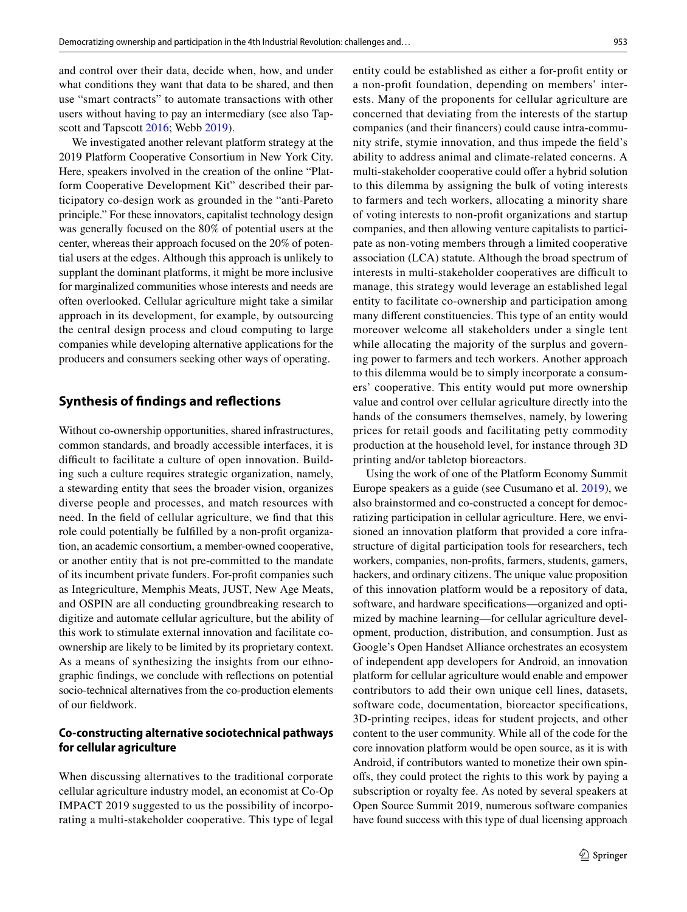and control over their data, decide when, how, and under what conditions they want that data to be shared, and then use "smart contracts" to automate transactions with other users without having to pay an intermediary (see also Tapscott and Tapscott [2016;](#page-16-36) Webb [2019\)](#page-17-4).

We investigated another relevant platform strategy at the 2019 Platform Cooperative Consortium in New York City. Here, speakers involved in the creation of the online "Platform Cooperative Development Kit" described their participatory co-design work as grounded in the "anti-Pareto principle." For these innovators, capitalist technology design was generally focused on the 80% of potential users at the center, whereas their approach focused on the 20% of potential users at the edges. Although this approach is unlikely to supplant the dominant platforms, it might be more inclusive for marginalized communities whose interests and needs are often overlooked. Cellular agriculture might take a similar approach in its development, for example, by outsourcing the central design process and cloud computing to large companies while developing alternative applications for the producers and consumers seeking other ways of operating.

## **Synthesis of fndings and refections**

Without co-ownership opportunities, shared infrastructures, common standards, and broadly accessible interfaces, it is difficult to facilitate a culture of open innovation. Building such a culture requires strategic organization, namely, a stewarding entity that sees the broader vision, organizes diverse people and processes, and match resources with need. In the feld of cellular agriculture, we fnd that this role could potentially be fulflled by a non-proft organization, an academic consortium, a member-owned cooperative, or another entity that is not pre-committed to the mandate of its incumbent private funders. For-proft companies such as Integriculture, Memphis Meats, JUST, New Age Meats, and OSPIN are all conducting groundbreaking research to digitize and automate cellular agriculture, but the ability of this work to stimulate external innovation and facilitate coownership are likely to be limited by its proprietary context. As a means of synthesizing the insights from our ethnographic fndings, we conclude with refections on potential socio-technical alternatives from the co-production elements of our feldwork.

## **Co‑constructing alternative sociotechnical pathways for cellular agriculture**

When discussing alternatives to the traditional corporate cellular agriculture industry model, an economist at Co-Op IMPACT 2019 suggested to us the possibility of incorporating a multi-stakeholder cooperative. This type of legal entity could be established as either a for-proft entity or a non-proft foundation, depending on members' interests. Many of the proponents for cellular agriculture are concerned that deviating from the interests of the startup companies (and their fnancers) could cause intra-community strife, stymie innovation, and thus impede the feld's ability to address animal and climate-related concerns. A multi-stakeholder cooperative could offer a hybrid solution to this dilemma by assigning the bulk of voting interests to farmers and tech workers, allocating a minority share of voting interests to non-proft organizations and startup companies, and then allowing venture capitalists to participate as non-voting members through a limited cooperative association (LCA) statute. Although the broad spectrum of interests in multi-stakeholder cooperatives are difficult to manage, this strategy would leverage an established legal entity to facilitate co-ownership and participation among many diferent constituencies. This type of an entity would moreover welcome all stakeholders under a single tent while allocating the majority of the surplus and governing power to farmers and tech workers. Another approach to this dilemma would be to simply incorporate a consumers' cooperative. This entity would put more ownership value and control over cellular agriculture directly into the hands of the consumers themselves, namely, by lowering prices for retail goods and facilitating petty commodity production at the household level, for instance through 3D printing and/or tabletop bioreactors.

Using the work of one of the Platform Economy Summit Europe speakers as a guide (see Cusumano et al. [2019](#page-14-38)), we also brainstormed and co-constructed a concept for democratizing participation in cellular agriculture. Here, we envisioned an innovation platform that provided a core infrastructure of digital participation tools for researchers, tech workers, companies, non-profts, farmers, students, gamers, hackers, and ordinary citizens. The unique value proposition of this innovation platform would be a repository of data, software, and hardware specifcations—organized and optimized by machine learning—for cellular agriculture development, production, distribution, and consumption. Just as Google's Open Handset Alliance orchestrates an ecosystem of independent app developers for Android, an innovation platform for cellular agriculture would enable and empower contributors to add their own unique cell lines, datasets, software code, documentation, bioreactor specifcations, 3D-printing recipes, ideas for student projects, and other content to the user community. While all of the code for the core innovation platform would be open source, as it is with Android, if contributors wanted to monetize their own spinofs, they could protect the rights to this work by paying a subscription or royalty fee. As noted by several speakers at Open Source Summit 2019, numerous software companies have found success with this type of dual licensing approach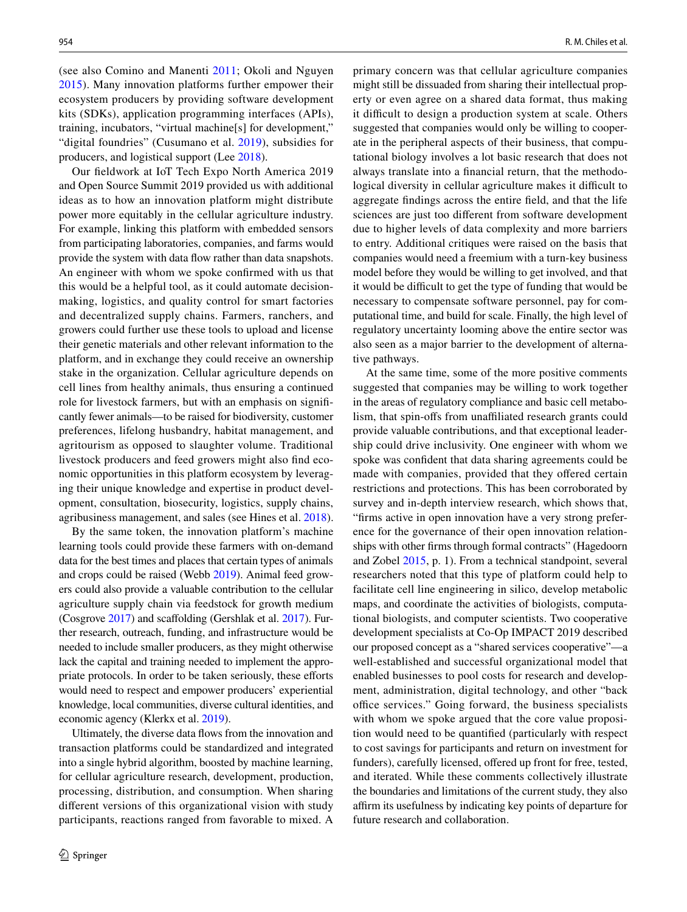(see also Comino and Manenti [2011](#page-14-39); Okoli and Nguyen [2015\)](#page-16-37). Many innovation platforms further empower their ecosystem producers by providing software development kits (SDKs), application programming interfaces (APIs), training, incubators, "virtual machine[s] for development," "digital foundries" (Cusumano et al. [2019](#page-14-38)), subsidies for producers, and logistical support (Lee [2018](#page-15-35)).

Our feldwork at IoT Tech Expo North America 2019 and Open Source Summit 2019 provided us with additional ideas as to how an innovation platform might distribute power more equitably in the cellular agriculture industry. For example, linking this platform with embedded sensors from participating laboratories, companies, and farms would provide the system with data fow rather than data snapshots. An engineer with whom we spoke confrmed with us that this would be a helpful tool, as it could automate decisionmaking, logistics, and quality control for smart factories and decentralized supply chains. Farmers, ranchers, and growers could further use these tools to upload and license their genetic materials and other relevant information to the platform, and in exchange they could receive an ownership stake in the organization. Cellular agriculture depends on cell lines from healthy animals, thus ensuring a continued role for livestock farmers, but with an emphasis on signifcantly fewer animals—to be raised for biodiversity, customer preferences, lifelong husbandry, habitat management, and agritourism as opposed to slaughter volume. Traditional livestock producers and feed growers might also fnd economic opportunities in this platform ecosystem by leveraging their unique knowledge and expertise in product development, consultation, biosecurity, logistics, supply chains, agribusiness management, and sales (see Hines et al. [2018](#page-15-0)).

By the same token, the innovation platform's machine learning tools could provide these farmers with on-demand data for the best times and places that certain types of animals and crops could be raised (Webb [2019\)](#page-17-4). Animal feed growers could also provide a valuable contribution to the cellular agriculture supply chain via feedstock for growth medium (Cosgrove [2017\)](#page-14-3) and scafolding (Gershlak et al. [2017](#page-15-38)). Further research, outreach, funding, and infrastructure would be needed to include smaller producers, as they might otherwise lack the capital and training needed to implement the appropriate protocols. In order to be taken seriously, these efforts would need to respect and empower producers' experiential knowledge, local communities, diverse cultural identities, and economic agency (Klerkx et al. [2019\)](#page-15-39).

Ultimately, the diverse data fows from the innovation and transaction platforms could be standardized and integrated into a single hybrid algorithm, boosted by machine learning, for cellular agriculture research, development, production, processing, distribution, and consumption. When sharing diferent versions of this organizational vision with study participants, reactions ranged from favorable to mixed. A

primary concern was that cellular agriculture companies might still be dissuaded from sharing their intellectual property or even agree on a shared data format, thus making it difficult to design a production system at scale. Others suggested that companies would only be willing to cooperate in the peripheral aspects of their business, that computational biology involves a lot basic research that does not always translate into a fnancial return, that the methodological diversity in cellular agriculture makes it difficult to aggregate fndings across the entire feld, and that the life sciences are just too diferent from software development due to higher levels of data complexity and more barriers to entry. Additional critiques were raised on the basis that companies would need a freemium with a turn-key business model before they would be willing to get involved, and that it would be difficult to get the type of funding that would be necessary to compensate software personnel, pay for computational time, and build for scale. Finally, the high level of regulatory uncertainty looming above the entire sector was also seen as a major barrier to the development of alternative pathways.

At the same time, some of the more positive comments suggested that companies may be willing to work together in the areas of regulatory compliance and basic cell metabolism, that spin-offs from unaffiliated research grants could provide valuable contributions, and that exceptional leadership could drive inclusivity. One engineer with whom we spoke was confdent that data sharing agreements could be made with companies, provided that they offered certain restrictions and protections. This has been corroborated by survey and in-depth interview research, which shows that, "frms active in open innovation have a very strong preference for the governance of their open innovation relationships with other frms through formal contracts" (Hagedoorn and Zobel [2015,](#page-15-40) p. 1). From a technical standpoint, several researchers noted that this type of platform could help to facilitate cell line engineering in silico, develop metabolic maps, and coordinate the activities of biologists, computational biologists, and computer scientists. Two cooperative development specialists at Co-Op IMPACT 2019 described our proposed concept as a "shared services cooperative"—a well-established and successful organizational model that enabled businesses to pool costs for research and development, administration, digital technology, and other "back office services." Going forward, the business specialists with whom we spoke argued that the core value proposition would need to be quantifed (particularly with respect to cost savings for participants and return on investment for funders), carefully licensed, offered up front for free, tested, and iterated. While these comments collectively illustrate the boundaries and limitations of the current study, they also afrm its usefulness by indicating key points of departure for future research and collaboration.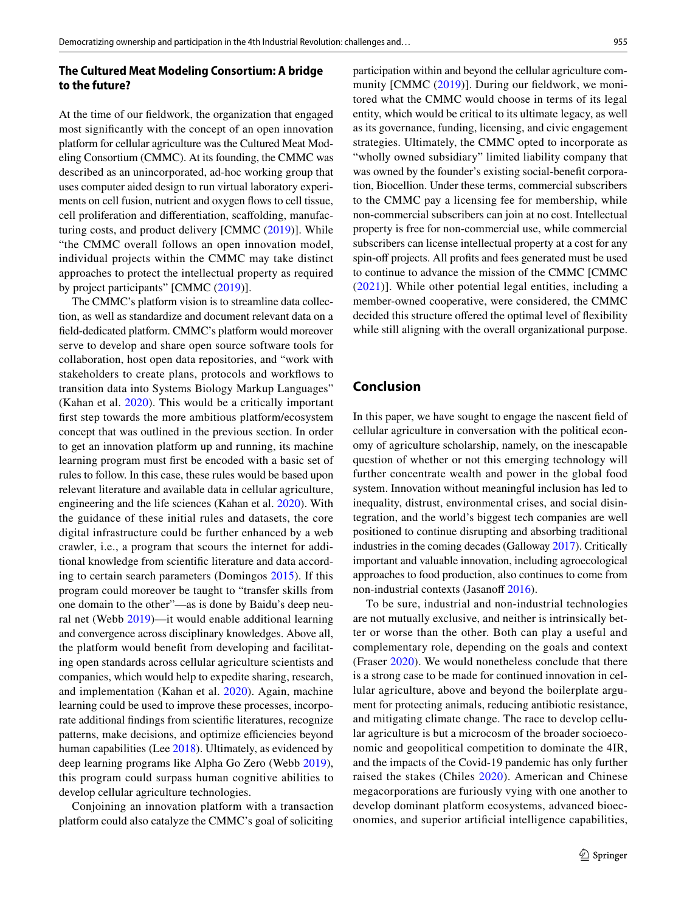## **The Cultured Meat Modeling Consortium: A bridge to the future?**

At the time of our feldwork, the organization that engaged most signifcantly with the concept of an open innovation platform for cellular agriculture was the Cultured Meat Modeling Consortium (CMMC). At its founding, the CMMC was described as an unincorporated, ad-hoc working group that uses computer aided design to run virtual laboratory experiments on cell fusion, nutrient and oxygen flows to cell tissue, cell proliferation and diferentiation, scafolding, manufacturing costs, and product delivery [CMMC ([2019](#page-14-40))]. While "the CMMC overall follows an open innovation model, individual projects within the CMMC may take distinct approaches to protect the intellectual property as required by project participants" [CMMC ([2019\)](#page-14-40)].

The CMMC's platform vision is to streamline data collection, as well as standardize and document relevant data on a feld-dedicated platform. CMMC's platform would moreover serve to develop and share open source software tools for collaboration, host open data repositories, and "work with stakeholders to create plans, protocols and workfows to transition data into Systems Biology Markup Languages" (Kahan et al. [2020\)](#page-15-33). This would be a critically important frst step towards the more ambitious platform/ecosystem concept that was outlined in the previous section. In order to get an innovation platform up and running, its machine learning program must frst be encoded with a basic set of rules to follow. In this case, these rules would be based upon relevant literature and available data in cellular agriculture, engineering and the life sciences (Kahan et al. [2020\)](#page-15-33). With the guidance of these initial rules and datasets, the core digital infrastructure could be further enhanced by a web crawler, i.e., a program that scours the internet for additional knowledge from scientifc literature and data according to certain search parameters (Domingos [2015\)](#page-14-41). If this program could moreover be taught to "transfer skills from one domain to the other"—as is done by Baidu's deep neural net (Webb [2019\)](#page-17-4)—it would enable additional learning and convergence across disciplinary knowledges. Above all, the platform would beneft from developing and facilitating open standards across cellular agriculture scientists and companies, which would help to expedite sharing, research, and implementation (Kahan et al. [2020\)](#page-15-33). Again, machine learning could be used to improve these processes, incorporate additional fndings from scientifc literatures, recognize patterns, make decisions, and optimize efficiencies beyond human capabilities (Lee [2018\)](#page-15-35). Ultimately, as evidenced by deep learning programs like Alpha Go Zero (Webb [2019](#page-17-4)), this program could surpass human cognitive abilities to develop cellular agriculture technologies.

Conjoining an innovation platform with a transaction platform could also catalyze the CMMC's goal of soliciting

participation within and beyond the cellular agriculture community [CMMC [\(2019\)](#page-14-40)]. During our feldwork, we monitored what the CMMC would choose in terms of its legal entity, which would be critical to its ultimate legacy, as well as its governance, funding, licensing, and civic engagement strategies. Ultimately, the CMMC opted to incorporate as "wholly owned subsidiary" limited liability company that was owned by the founder's existing social-beneft corporation, Biocellion. Under these terms, commercial subscribers to the CMMC pay a licensing fee for membership, while non-commercial subscribers can join at no cost. Intellectual property is free for non-commercial use, while commercial subscribers can license intellectual property at a cost for any spin-off projects. All profits and fees generated must be used to continue to advance the mission of the CMMC [CMMC ([2021](#page-14-42))]. While other potential legal entities, including a member-owned cooperative, were considered, the CMMC

decided this structure offered the optimal level of flexibility while still aligning with the overall organizational purpose.

## **Conclusion**

In this paper, we have sought to engage the nascent feld of cellular agriculture in conversation with the political economy of agriculture scholarship, namely, on the inescapable question of whether or not this emerging technology will further concentrate wealth and power in the global food system. Innovation without meaningful inclusion has led to inequality, distrust, environmental crises, and social disintegration, and the world's biggest tech companies are well positioned to continue disrupting and absorbing traditional industries in the coming decades (Galloway [2017](#page-14-35)). Critically important and valuable innovation, including agroecological approaches to food production, also continues to come from non-industrial contexts (Jasanoff [2016](#page-15-41)).

To be sure, industrial and non-industrial technologies are not mutually exclusive, and neither is intrinsically better or worse than the other. Both can play a useful and complementary role, depending on the goals and context (Fraser [2020](#page-14-20)). We would nonetheless conclude that there is a strong case to be made for continued innovation in cellular agriculture, above and beyond the boilerplate argument for protecting animals, reducing antibiotic resistance, and mitigating climate change. The race to develop cellular agriculture is but a microcosm of the broader socioeconomic and geopolitical competition to dominate the 4IR, and the impacts of the Covid-19 pandemic has only further raised the stakes (Chiles [2020\)](#page-14-10). American and Chinese megacorporations are furiously vying with one another to develop dominant platform ecosystems, advanced bioeconomies, and superior artifcial intelligence capabilities,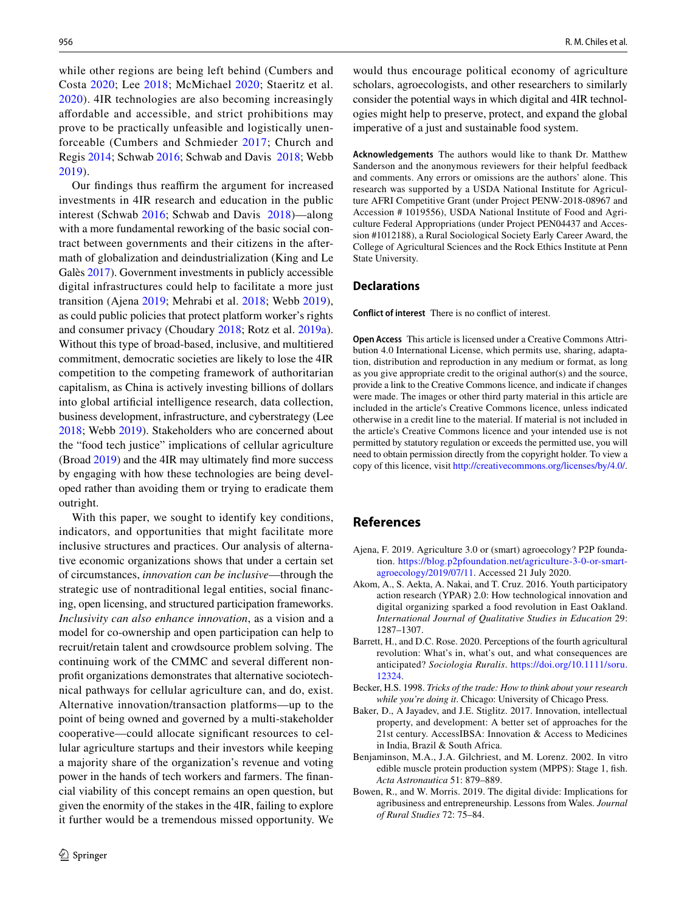while other regions are being left behind (Cumbers and Costa [2020;](#page-14-43) Lee [2018](#page-15-35); McMichael [2020](#page-16-14); Staeritz et al. [2020](#page-16-38)). 4IR technologies are also becoming increasingly afordable and accessible, and strict prohibitions may prove to be practically unfeasible and logistically unenforceable (Cumbers and Schmieder [2017;](#page-14-34) Church and Regis [2014;](#page-14-33) Schwab [2016](#page-16-0); Schwab and Davis [2018](#page-16-33); Webb [2019\)](#page-17-4).

Our findings thus reaffirm the argument for increased investments in 4IR research and education in the public interest (Schwab [2016;](#page-16-0) Schwab and Davis [2018\)](#page-16-33)—along with a more fundamental reworking of the basic social contract between governments and their citizens in the aftermath of globalization and deindustrialization (King and Le Galès [2017\)](#page-15-42). Government investments in publicly accessible digital infrastructures could help to facilitate a more just transition (Ajena [2019;](#page-13-6) Mehrabi et al. [2018](#page-16-39); Webb [2019](#page-17-4)), as could public policies that protect platform worker's rights and consumer privacy (Choudary [2018](#page-14-44); Rotz et al. [2019a](#page-16-9)). Without this type of broad-based, inclusive, and multitiered commitment, democratic societies are likely to lose the 4IR competition to the competing framework of authoritarian capitalism, as China is actively investing billions of dollars into global artifcial intelligence research, data collection, business development, infrastructure, and cyberstrategy (Lee [2018](#page-15-35); Webb [2019](#page-17-4)). Stakeholders who are concerned about the "food tech justice" implications of cellular agriculture (Broad [2019](#page-14-2)) and the 4IR may ultimately fnd more success by engaging with how these technologies are being developed rather than avoiding them or trying to eradicate them outright.

With this paper, we sought to identify key conditions, indicators, and opportunities that might facilitate more inclusive structures and practices. Our analysis of alternative economic organizations shows that under a certain set of circumstances, *innovation can be inclusive*—through the strategic use of nontraditional legal entities, social fnancing, open licensing, and structured participation frameworks. *Inclusivity can also enhance innovation*, as a vision and a model for co-ownership and open participation can help to recruit/retain talent and crowdsource problem solving. The continuing work of the CMMC and several diferent nonproft organizations demonstrates that alternative sociotechnical pathways for cellular agriculture can, and do, exist. Alternative innovation/transaction platforms—up to the point of being owned and governed by a multi-stakeholder cooperative—could allocate signifcant resources to cellular agriculture startups and their investors while keeping a majority share of the organization's revenue and voting power in the hands of tech workers and farmers. The fnancial viability of this concept remains an open question, but given the enormity of the stakes in the 4IR, failing to explore it further would be a tremendous missed opportunity. We would thus encourage political economy of agriculture scholars, agroecologists, and other researchers to similarly consider the potential ways in which digital and 4IR technologies might help to preserve, protect, and expand the global imperative of a just and sustainable food system.

**Acknowledgements** The authors would like to thank Dr. Matthew Sanderson and the anonymous reviewers for their helpful feedback and comments. Any errors or omissions are the authors' alone. This research was supported by a USDA National Institute for Agriculture AFRI Competitive Grant (under Project PENW-2018-08967 and Accession # 1019556), USDA National Institute of Food and Agriculture Federal Appropriations (under Project PEN04437 and Accession #1012188), a Rural Sociological Society Early Career Award, the College of Agricultural Sciences and the Rock Ethics Institute at Penn State University.

#### **Declarations**

**Conflict of interest** There is no confict of interest.

**Open Access** This article is licensed under a Creative Commons Attribution 4.0 International License, which permits use, sharing, adaptation, distribution and reproduction in any medium or format, as long as you give appropriate credit to the original author(s) and the source, provide a link to the Creative Commons licence, and indicate if changes were made. The images or other third party material in this article are included in the article's Creative Commons licence, unless indicated otherwise in a credit line to the material. If material is not included in the article's Creative Commons licence and your intended use is not permitted by statutory regulation or exceeds the permitted use, you will need to obtain permission directly from the copyright holder. To view a copy of this licence, visit<http://creativecommons.org/licenses/by/4.0/>.

## **References**

- <span id="page-13-6"></span>Ajena, F. 2019. Agriculture 3.0 or (smart) agroecology? P2P foundation. [https://blog.p2pfoundation.net/agriculture-3-0-or-smart](https://blog.p2pfoundation.net/agriculture-3-0-or-smart-agroecology/2019/07/11)[agroecology/2019/07/11.](https://blog.p2pfoundation.net/agriculture-3-0-or-smart-agroecology/2019/07/11) Accessed 21 July 2020.
- <span id="page-13-4"></span>Akom, A., S. Aekta, A. Nakai, and T. Cruz. 2016. Youth participatory action research (YPAR) 2.0: How technological innovation and digital organizing sparked a food revolution in East Oakland. *International Journal of Qualitative Studies in Education* 29: 1287–1307.
- <span id="page-13-2"></span>Barrett, H., and D.C. Rose. 2020. Perceptions of the fourth agricultural revolution: What's in, what's out, and what consequences are anticipated? *Sociologia Ruralis*. [https://doi.org/10.1111/soru.](https://doi.org/10.1111/soru.12324) [12324](https://doi.org/10.1111/soru.12324).
- <span id="page-13-5"></span>Becker, H.S. 1998. *Tricks of the trade: How to think about your research while you're doing it*. Chicago: University of Chicago Press.
- <span id="page-13-0"></span>Baker, D., A Jayadev, and J.E. Stiglitz. 2017. Innovation, intellectual property, and development: A better set of approaches for the 21st century. AccessIBSA: Innovation & Access to Medicines in India, Brazil & South Africa.
- <span id="page-13-3"></span>Benjaminson, M.A., J.A. Gilchriest, and M. Lorenz. 2002. In vitro edible muscle protein production system (MPPS): Stage 1, fsh. *Acta Astronautica* 51: 879–889.
- <span id="page-13-1"></span>Bowen, R., and W. Morris. 2019. The digital divide: Implications for agribusiness and entrepreneurship. Lessons from Wales. *Journal of Rural Studies* 72: 75–84.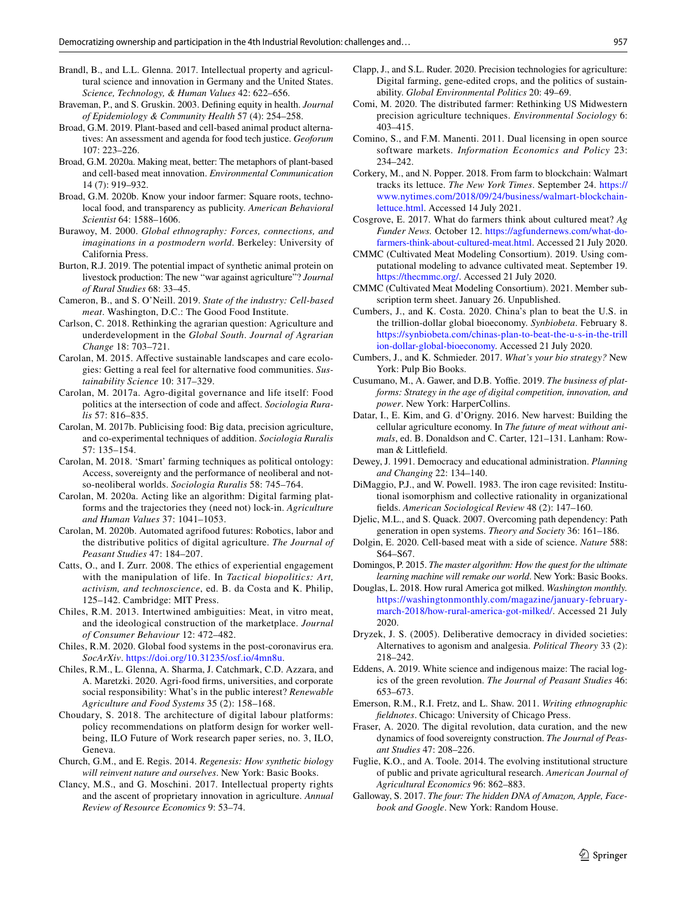- <span id="page-14-6"></span>Brandl, B., and L.L. Glenna. 2017. Intellectual property and agricultural science and innovation in Germany and the United States. *Science, Technology, & Human Values* 42: 622–656.
- <span id="page-14-24"></span>Braveman, P., and S. Gruskin. 2003. Defning equity in health. *Journal of Epidemiology & Community Health* 57 (4): 254–258.
- <span id="page-14-2"></span>Broad, G.M. 2019. Plant-based and cell-based animal product alternatives: An assessment and agenda for food tech justice. *Geoforum* 107: 223–226.
- <span id="page-14-23"></span>Broad, G.M. 2020a. Making meat, better: The metaphors of plant-based and cell-based meat innovation. *Environmental Communication* 14 (7): 919–932.
- <span id="page-14-16"></span>Broad, G.M. 2020b. Know your indoor farmer: Square roots, technolocal food, and transparency as publicity. *American Behavioral Scientist* 64: 1588–1606.
- <span id="page-14-28"></span>Burawoy, M. 2000. *Global ethnography: Forces, connections, and imaginations in a postmodern world*. Berkeley: University of California Press.
- <span id="page-14-15"></span>Burton, R.J. 2019. The potential impact of synthetic animal protein on livestock production: The new "war against agriculture"? *Journal of Rural Studies* 68: 33–45.
- <span id="page-14-0"></span>Cameron, B., and S. O'Neill. 2019. *State of the industry: Cell-based meat*. Washington, D.C.: The Good Food Institute.
- <span id="page-14-5"></span>Carlson, C. 2018. Rethinking the agrarian question: Agriculture and underdevelopment in the *Global South*. *Journal of Agrarian Change* 18: 703–721.
- <span id="page-14-12"></span>Carolan, M. 2015. Afective sustainable landscapes and care ecologies: Getting a real feel for alternative food communities. *Sustainability Science* 10: 317–329.
- <span id="page-14-13"></span>Carolan, M. 2017a. Agro-digital governance and life itself: Food politics at the intersection of code and afect. *Sociologia Ruralis* 57: 816–835.
- <span id="page-14-14"></span>Carolan, M. 2017b. Publicising food: Big data, precision agriculture, and co-experimental techniques of addition. *Sociologia Ruralis* 57: 135–154.
- <span id="page-14-8"></span>Carolan, M. 2018. 'Smart' farming techniques as political ontology: Access, sovereignty and the performance of neoliberal and notso-neoliberal worlds. *Sociologia Ruralis* 58: 745–764.
- <span id="page-14-11"></span>Carolan, M. 2020a. Acting like an algorithm: Digital farming platforms and the trajectories they (need not) lock-in. *Agriculture and Human Values* 37: 1041–1053.
- <span id="page-14-17"></span>Carolan, M. 2020b. Automated agrifood futures: Robotics, labor and the distributive politics of digital agriculture. *The Journal of Peasant Studies* 47: 184–207.
- <span id="page-14-21"></span>Catts, O., and I. Zurr. 2008. The ethics of experiential engagement with the manipulation of life. In *Tactical biopolitics: Art, activism, and technoscience*, ed. B. da Costa and K. Philip, 125–142. Cambridge: MIT Press.
- <span id="page-14-4"></span>Chiles, R.M. 2013. Intertwined ambiguities: Meat, in vitro meat, and the ideological construction of the marketplace. *Journal of Consumer Behaviour* 12: 472–482.
- <span id="page-14-10"></span>Chiles, R.M. 2020. Global food systems in the post-coronavirus era. *SocArXiv*. [https://doi.org/10.31235/osf.io/4mn8u.](https://doi.org/10.31235/osf.io/4mn8u)
- <span id="page-14-31"></span>Chiles, R.M., L. Glenna, A. Sharma, J. Catchmark, C.D. Azzara, and A. Maretzki. 2020. Agri-food frms, universities, and corporate social responsibility: What's in the public interest? *Renewable Agriculture and Food Systems* 35 (2): 158–168.
- <span id="page-14-44"></span>Choudary, S. 2018. The architecture of digital labour platforms: policy recommendations on platform design for worker wellbeing, ILO Future of Work research paper series, no. 3, ILO, Geneva.
- <span id="page-14-33"></span>Church, G.M., and E. Regis. 2014. *Regenesis: How synthetic biology will reinvent nature and ourselves*. New York: Basic Books.
- <span id="page-14-22"></span>Clancy, M.S., and G. Moschini. 2017. Intellectual property rights and the ascent of proprietary innovation in agriculture. *Annual Review of Resource Economics* 9: 53–74.
- <span id="page-14-18"></span>Clapp, J., and S.L. Ruder. 2020. Precision technologies for agriculture: Digital farming, gene-edited crops, and the politics of sustainability. *Global Environmental Politics* 20: 49–69.
- <span id="page-14-19"></span>Comi, M. 2020. The distributed farmer: Rethinking US Midwestern precision agriculture techniques. *Environmental Sociology* 6: 403–415.
- <span id="page-14-39"></span>Comino, S., and F.M. Manenti. 2011. Dual licensing in open source software markets. *Information Economics and Policy* 23: 234–242.
- <span id="page-14-9"></span>Corkery, M., and N. Popper. 2018. From farm to blockchain: Walmart tracks its lettuce. *The New York Times*. September 24. [https://](https://www.nytimes.com/2018/09/24/business/walmart-blockchain-lettuce.html) [www.nytimes.com/2018/09/24/business/walmart-blockchain](https://www.nytimes.com/2018/09/24/business/walmart-blockchain-lettuce.html)[lettuce.html](https://www.nytimes.com/2018/09/24/business/walmart-blockchain-lettuce.html). Accessed 14 July 2021.
- <span id="page-14-3"></span>Cosgrove, E. 2017. What do farmers think about cultured meat? *Ag Funder News.* October 12. [https://agfundernews.com/what-do](https://agfundernews.com/what-do-farmers-think-about-cultured-meat.html)[farmers-think-about-cultured-meat.html](https://agfundernews.com/what-do-farmers-think-about-cultured-meat.html). Accessed 21 July 2020.
- <span id="page-14-40"></span>CMMC (Cultivated Meat Modeling Consortium). 2019. Using computational modeling to advance cultivated meat. September 19. <https://thecmmc.org/>. Accessed 21 July 2020.
- <span id="page-14-42"></span>CMMC (Cultivated Meat Modeling Consortium). 2021. Member subscription term sheet. January 26. Unpublished.
- <span id="page-14-43"></span>Cumbers, J., and K. Costa. 2020. China's plan to beat the U.S. in the trillion-dollar global bioeconomy. *Synbiobeta*. February 8. [https://synbiobeta.com/chinas-plan-to-beat-the-u-s-in-the-trill](https://synbiobeta.com/chinas-plan-to-beat-the-u-s-in-the-trillion-dollar-global-bioeconomy) [ion-dollar-global-bioeconomy](https://synbiobeta.com/chinas-plan-to-beat-the-u-s-in-the-trillion-dollar-global-bioeconomy). Accessed 21 July 2020.
- <span id="page-14-34"></span>Cumbers, J., and K. Schmieder. 2017. *What's your bio strategy?* New York: Pulp Bio Books.
- <span id="page-14-38"></span>Cusumano, M., A. Gawer, and D.B. Yoffie. 2019. *The business of platforms: Strategy in the age of digital competition, innovation, and power*. New York: HarperCollins.
- <span id="page-14-1"></span>Datar, I., E. Kim, and G. d'Origny. 2016. New harvest: Building the cellular agriculture economy. In *The future of meat without animals*, ed. B. Donaldson and C. Carter, 121–131. Lanham: Rowman & Littlefeld.
- <span id="page-14-26"></span>Dewey, J. 1991. Democracy and educational administration. *Planning and Changing* 22: 134–140.
- <span id="page-14-36"></span>DiMaggio, P.J., and W. Powell. 1983. The iron cage revisited: Institutional isomorphism and collective rationality in organizational felds. *American Sociological Review* 48 (2): 147–160.
- <span id="page-14-25"></span>Djelic, M.L., and S. Quack. 2007. Overcoming path dependency: Path generation in open systems. *Theory and Society* 36: 161–186.
- <span id="page-14-32"></span>Dolgin, E. 2020. Cell-based meat with a side of science. *Nature* 588: S64–S67.
- <span id="page-14-41"></span>Domingos, P. 2015. *The master algorithm: How the quest for the ultimate learning machine will remake our world*. New York: Basic Books.
- <span id="page-14-37"></span>Douglas, L. 2018. How rural America got milked. *Washington monthly.* [https://washingtonmonthly.com/magazine/january-february](https://washingtonmonthly.com/magazine/january-february-march-2018/how-rural-america-got-milked/)[march-2018/how-rural-america-got-milked/](https://washingtonmonthly.com/magazine/january-february-march-2018/how-rural-america-got-milked/). Accessed 21 July 2020.
- <span id="page-14-27"></span>Dryzek, J. S. (2005). Deliberative democracy in divided societies: Alternatives to agonism and analgesia. *Political Theory* 33 (2): 218–242.
- <span id="page-14-30"></span>Eddens, A. 2019. White science and indigenous maize: The racial logics of the green revolution. *The Journal of Peasant Studies* 46: 653–673.
- <span id="page-14-29"></span>Emerson, R.M., R.I. Fretz, and L. Shaw. 2011. *Writing ethnographic feldnotes*. Chicago: University of Chicago Press.
- <span id="page-14-20"></span>Fraser, A. 2020. The digital revolution, data curation, and the new dynamics of food sovereignty construction. *The Journal of Peasant Studies* 47: 208–226.
- <span id="page-14-7"></span>Fuglie, K.O., and A. Toole. 2014. The evolving institutional structure of public and private agricultural research. *American Journal of Agricultural Economics* 96: 862–883.
- <span id="page-14-35"></span>Galloway, S. 2017. *The four: The hidden DNA of Amazon, Apple, Facebook and Google*. New York: Random House.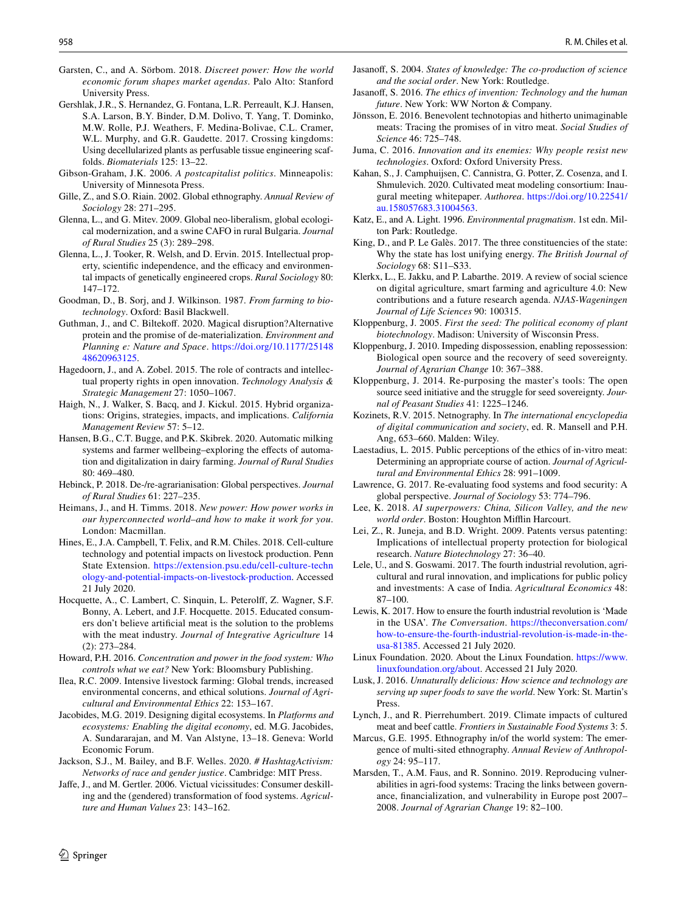- <span id="page-15-29"></span>Garsten, C., and A. Sörbom. 2018. *Discreet power: How the world economic forum shapes market agendas*. Palo Alto: Stanford University Press.
- <span id="page-15-38"></span>Gershlak, J.R., S. Hernandez, G. Fontana, L.R. Perreault, K.J. Hansen, S.A. Larson, B.Y. Binder, D.M. Dolivo, T. Yang, T. Dominko, M.W. Rolle, P.J. Weathers, F. Medina-Bolivae, C.L. Cramer, W.L. Murphy, and G.R. Gaudette. 2017. Crossing kingdoms: Using decellularized plants as perfusable tissue engineering scaffolds. *Biomaterials* 125: 13–22.
- <span id="page-15-8"></span>Gibson-Graham, J.K. 2006. *A postcapitalist politics*. Minneapolis: University of Minnesota Press.
- <span id="page-15-26"></span>Gille, Z., and S.O. Riain. 2002. Global ethnography. *Annual Review of Sociology* 28: 271–295.
- <span id="page-15-21"></span>Glenna, L., and G. Mitev. 2009. Global neo-liberalism, global ecological modernization, and a swine CAFO in rural Bulgaria. *Journal of Rural Studies* 25 (3): 289–298.
- <span id="page-15-15"></span>Glenna, L., J. Tooker, R. Welsh, and D. Ervin. 2015. Intellectual property, scientific independence, and the efficacy and environmental impacts of genetically engineered crops. *Rural Sociology* 80: 147–172.
- <span id="page-15-10"></span>Goodman, D., B. Sorj, and J. Wilkinson. 1987. *From farming to biotechnology*. Oxford: Basil Blackwell.
- <span id="page-15-2"></span>Guthman, J., and C. Biltekof. 2020. Magical disruption?Alternative protein and the promise of de-materialization. *Environment and Planning e: Nature and Space*. [https://doi.org/10.1177/25148](https://doi.org/10.1177/2514848620963125) [48620963125.](https://doi.org/10.1177/2514848620963125)
- <span id="page-15-40"></span>Hagedoorn, J., and A. Zobel. 2015. The role of contracts and intellectual property rights in open innovation. *Technology Analysis & Strategic Management* 27: 1050–1067.
- <span id="page-15-31"></span>Haigh, N., J. Walker, S. Bacq, and J. Kickul. 2015. Hybrid organizations: Origins, strategies, impacts, and implications. *California Management Review* 57: 5–12.
- <span id="page-15-18"></span>Hansen, B.G., C.T. Bugge, and P.K. Skibrek. 2020. Automatic milking systems and farmer wellbeing–exploring the effects of automation and digitalization in dairy farming. *Journal of Rural Studies* 80: 469–480.
- <span id="page-15-19"></span>Hebinck, P. 2018. De-/re-agrarianisation: Global perspectives. *Journal of Rural Studies* 61: 227–235.
- <span id="page-15-23"></span>Heimans, J., and H. Timms. 2018. *New power: How power works in our hyperconnected world–and how to make it work for you*. London: Macmillan.
- <span id="page-15-0"></span>Hines, E., J.A. Campbell, T. Felix, and R.M. Chiles. 2018. Cell-culture technology and potential impacts on livestock production. Penn State Extension. [https://extension.psu.edu/cell-culture-techn](https://extension.psu.edu/cell-culture-technology-and-potential-impacts-on-livestock-production) [ology-and-potential-impacts-on-livestock-production.](https://extension.psu.edu/cell-culture-technology-and-potential-impacts-on-livestock-production) Accessed 21 July 2020.
- <span id="page-15-3"></span>Hocquette, A., C. Lambert, C. Sinquin, L. Peterolf, Z. Wagner, S.F. Bonny, A. Lebert, and J.F. Hocquette. 2015. Educated consumers don't believe artifcial meat is the solution to the problems with the meat industry. *Journal of Integrative Agriculture* 14 (2): 273–284.
- <span id="page-15-7"></span>Howard, P.H. 2016. *Concentration and power in the food system: Who controls what we eat?* New York: Bloomsbury Publishing.
- <span id="page-15-20"></span>Ilea, R.C. 2009. Intensive livestock farming: Global trends, increased environmental concerns, and ethical solutions. *Journal of Agricultural and Environmental Ethics* 22: 153–167.
- <span id="page-15-37"></span>Jacobides, M.G. 2019. Designing digital ecosystems. In *Platforms and ecosystems: Enabling the digital economy*, ed. M.G. Jacobides, A. Sundararajan, and M. Van Alstyne, 13–18. Geneva: World Economic Forum.
- <span id="page-15-36"></span>Jackson, S.J., M. Bailey, and B.F. Welles. 2020. *# HashtagActivism: Networks of race and gender justice*. Cambridge: MIT Press.
- <span id="page-15-13"></span>Jafe, J., and M. Gertler. 2006. Victual vicissitudes: Consumer deskilling and the (gendered) transformation of food systems. *Agriculture and Human Values* 23: 143–162.
- <span id="page-15-30"></span>Jasanof, S. 2004. *States of knowledge: The co-production of science and the social order*. New York: Routledge.
- <span id="page-15-41"></span>Jasanof, S. 2016. *The ethics of invention: Technology and the human future*. New York: WW Norton & Company.
- <span id="page-15-4"></span>Jönsson, E. 2016. Benevolent technotopias and hitherto unimaginable meats: Tracing the promises of in vitro meat. *Social Studies of Science* 46: 725–748.
- <span id="page-15-6"></span>Juma, C. 2016. *Innovation and its enemies: Why people resist new technologies*. Oxford: Oxford University Press.
- <span id="page-15-33"></span>Kahan, S., J. Camphuijsen, C. Cannistra, G. Potter, Z. Cosenza, and I. Shmulevich. 2020. Cultivated meat modeling consortium: Inaugural meeting whitepaper. *Authorea*. [https://doi.org/10.22541/](https://doi.org/10.22541/au.158057683.31004563) [au.158057683.31004563](https://doi.org/10.22541/au.158057683.31004563).
- <span id="page-15-22"></span>Katz, E., and A. Light. 1996. *Environmental pragmatism*. 1st edn. Milton Park: Routledge.
- <span id="page-15-42"></span>King, D., and P. Le Galès. 2017. The three constituencies of the state: Why the state has lost unifying energy. *The British Journal of Sociology* 68: S11–S33.
- <span id="page-15-39"></span>Klerkx, L., E. Jakku, and P. Labarthe. 2019. A review of social science on digital agriculture, smart farming and agriculture 4.0: New contributions and a future research agenda. *NJAS-Wageningen Journal of Life Sciences* 90: 100315.
- <span id="page-15-32"></span>Kloppenburg, J. 2005. *First the seed: The political economy of plant biotechnology*. Madison: University of Wisconsin Press.
- <span id="page-15-16"></span>Kloppenburg, J. 2010. Impeding dispossession, enabling repossession: Biological open source and the recovery of seed sovereignty. *Journal of Agrarian Change* 10: 367–388.
- <span id="page-15-17"></span>Kloppenburg, J. 2014. Re-purposing the master's tools: The open source seed initiative and the struggle for seed sovereignty. *Journal of Peasant Studies* 41: 1225–1246.
- <span id="page-15-27"></span>Kozinets, R.V. 2015. Netnography. In *The international encyclopedia of digital communication and society*, ed. R. Mansell and P.H. Ang, 653–660. Malden: Wiley.
- <span id="page-15-5"></span>Laestadius, L. 2015. Public perceptions of the ethics of in-vitro meat: Determining an appropriate course of action. *Journal of Agricultural and Environmental Ethics* 28: 991–1009.
- <span id="page-15-11"></span>Lawrence, G. 2017. Re-evaluating food systems and food security: A global perspective. *Journal of Sociology* 53: 774–796.
- <span id="page-15-35"></span>Lee, K. 2018. *AI superpowers: China, Silicon Valley, and the new world order*. Boston: Houghton Mifin Harcourt.
- <span id="page-15-14"></span>Lei, Z., R. Juneja, and B.D. Wright. 2009. Patents versus patenting: Implications of intellectual property protection for biological research. *Nature Biotechnology* 27: 36–40.
- <span id="page-15-24"></span>Lele, U., and S. Goswami. 2017. The fourth industrial revolution, agricultural and rural innovation, and implications for public policy and investments: A case of India. *Agricultural Economics* 48: 87–100.
- <span id="page-15-25"></span>Lewis, K. 2017. How to ensure the fourth industrial revolution is 'Made in the USA'. *The Conversation*. [https://theconversation.com/](https://theconversation.com/how-to-ensure-the-fourth-industrial-revolution-is-made-in-the-usa-81385) [how-to-ensure-the-fourth-industrial-revolution-is-made-in-the](https://theconversation.com/how-to-ensure-the-fourth-industrial-revolution-is-made-in-the-usa-81385)[usa-81385](https://theconversation.com/how-to-ensure-the-fourth-industrial-revolution-is-made-in-the-usa-81385). Accessed 21 July 2020.
- <span id="page-15-34"></span>Linux Foundation. 2020. About the Linux Foundation. [https://www.](https://www.linuxfoundation.org/about) [linuxfoundation.org/about](https://www.linuxfoundation.org/about). Accessed 21 July 2020.
- <span id="page-15-9"></span>Lusk, J. 2016. *Unnaturally delicious: How science and technology are serving up super foods to save the world*. New York: St. Martin's **Press**
- <span id="page-15-1"></span>Lynch, J., and R. Pierrehumbert. 2019. Climate impacts of cultured meat and beef cattle. *Frontiers in Sustainable Food Systems* 3: 5.
- <span id="page-15-28"></span>Marcus, G.E. 1995. Ethnography in/of the world system: The emergence of multi-sited ethnography. *Annual Review of Anthropology* 24: 95–117.
- <span id="page-15-12"></span>Marsden, T., A.M. Faus, and R. Sonnino. 2019. Reproducing vulnerabilities in agri-food systems: Tracing the links between governance, fnancialization, and vulnerability in Europe post 2007– 2008. *Journal of Agrarian Change* 19: 82–100.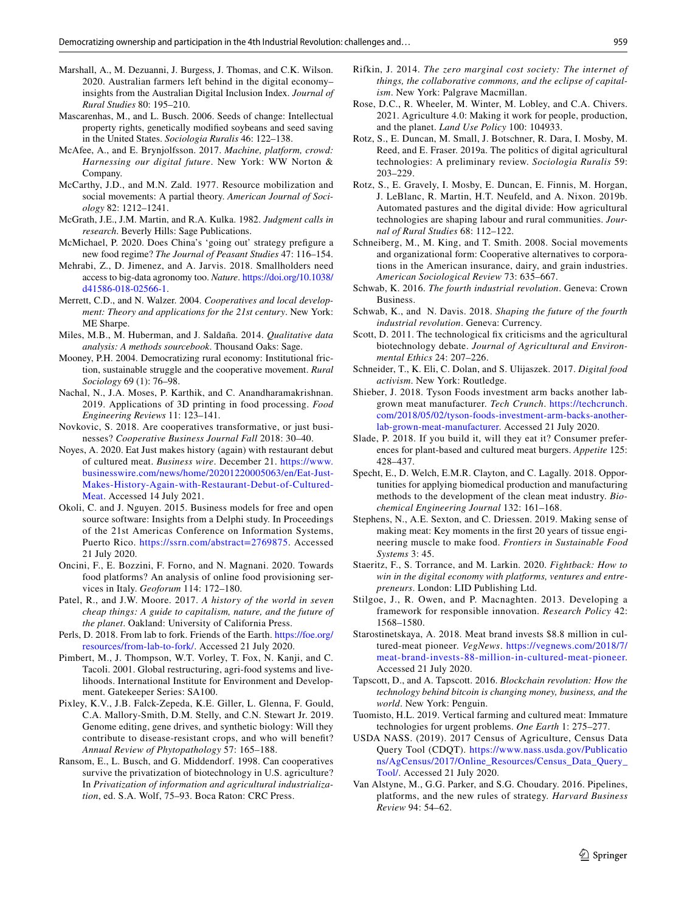- <span id="page-16-15"></span>Marshall, A., M. Dezuanni, J. Burgess, J. Thomas, and C.K. Wilson. 2020. Australian farmers left behind in the digital economy– insights from the Australian Digital Inclusion Index. *Journal of Rural Studies* 80: 195–210.
- <span id="page-16-32"></span>Mascarenhas, M., and L. Busch. 2006. Seeds of change: Intellectual property rights, genetically modifed soybeans and seed saving in the United States. *Sociologia Ruralis* 46: 122–138.
- <span id="page-16-34"></span>McAfee, A., and E. Brynjolfsson. 2017. *Machine, platform, crowd: Harnessing our digital future*. New York: WW Norton & Company.
- <span id="page-16-5"></span>McCarthy, J.D., and M.N. Zald. 1977. Resource mobilization and social movements: A partial theory. *American Journal of Sociology* 82: 1212–1241.
- <span id="page-16-27"></span>McGrath, J.E., J.M. Martin, and R.A. Kulka. 1982. *Judgment calls in research*. Beverly Hills: Sage Publications.
- <span id="page-16-14"></span>McMichael, P. 2020. Does China's 'going out' strategy prefgure a new food regime? *The Journal of Peasant Studies* 47: 116–154.
- <span id="page-16-39"></span>Mehrabi, Z., D. Jimenez, and A. Jarvis. 2018. Smallholders need access to big-data agronomy too. *Nature*. [https://doi.org/10.1038/](https://doi.org/10.1038/d41586-018-02566-1) [d41586-018-02566-1.](https://doi.org/10.1038/d41586-018-02566-1)
- <span id="page-16-25"></span>Merrett, C.D., and N. Walzer. 2004. *Cooperatives and local development: Theory and applications for the 21st century*. New York: ME Sharpe.
- <span id="page-16-26"></span>Miles, M.B., M. Huberman, and J. Saldaña. 2014. *Qualitative data analysis: A methods sourcebook*. Thousand Oaks: Sage.
- <span id="page-16-24"></span>Mooney, P.H. 2004. Democratizing rural economy: Institutional friction, sustainable struggle and the cooperative movement. *Rural Sociology* 69 (1): 76–98.
- <span id="page-16-11"></span>Nachal, N., J.A. Moses, P. Karthik, and C. Anandharamakrishnan. 2019. Applications of 3D printing in food processing. *Food Engineering Reviews* 11: 123–141.
- <span id="page-16-35"></span>Novkovic, S. 2018. Are cooperatives transformative, or just businesses? *Cooperative Business Journal Fall* 2018: 30–40.
- <span id="page-16-20"></span>Noyes, A. 2020. Eat Just makes history (again) with restaurant debut of cultured meat. *Business wire*. December 21. [https://www.](https://www.businesswire.com/news/home/20201220005063/en/Eat-Just-Makes-History-Again-with-Restaurant-Debut-of-Cultured-Meat) [businesswire.com/news/home/20201220005063/en/Eat-Just-](https://www.businesswire.com/news/home/20201220005063/en/Eat-Just-Makes-History-Again-with-Restaurant-Debut-of-Cultured-Meat)[Makes-History-Again-with-Restaurant-Debut-of-Cultured-](https://www.businesswire.com/news/home/20201220005063/en/Eat-Just-Makes-History-Again-with-Restaurant-Debut-of-Cultured-Meat)[Meat.](https://www.businesswire.com/news/home/20201220005063/en/Eat-Just-Makes-History-Again-with-Restaurant-Debut-of-Cultured-Meat) Accessed 14 July 2021.
- <span id="page-16-37"></span>Okoli, C. and J. Nguyen. 2015. Business models for free and open source software: Insights from a Delphi study. In Proceedings of the 21st Americas Conference on Information Systems, Puerto Rico. [https://ssrn.com/abstract=2769875.](https://ssrn.com/abstract=2769875) Accessed 21 July 2020.
- <span id="page-16-16"></span>Oncini, F., E. Bozzini, F. Forno, and N. Magnani. 2020. Towards food platforms? An analysis of online food provisioning services in Italy. *Geoforum* 114: 172–180.
- <span id="page-16-7"></span>Patel, R., and J.W. Moore. 2017. *A history of the world in seven cheap things: A guide to capitalism, nature, and the future of the planet*. Oakland: University of California Press.
- <span id="page-16-22"></span>Perls, D. 2018. From lab to fork. Friends of the Earth. [https://foe.org/](https://foe.org/resources/from-lab-to-fork/) [resources/from-lab-to-fork/](https://foe.org/resources/from-lab-to-fork/). Accessed 21 July 2020.
- <span id="page-16-8"></span>Pimbert, M., J. Thompson, W.T. Vorley, T. Fox, N. Kanji, and C. Tacoli. 2001. Global restructuring, agri-food systems and livelihoods. International Institute for Environment and Development. Gatekeeper Series: SA100.
- <span id="page-16-12"></span>Pixley, K.V., J.B. Falck-Zepeda, K.E. Giller, L. Glenna, F. Gould, C.A. Mallory-Smith, D.M. Stelly, and C.N. Stewart Jr. 2019. Genome editing, gene drives, and synthetic biology: Will they contribute to disease-resistant crops, and who will beneft? *Annual Review of Phytopathology* 57: 165–188.
- <span id="page-16-28"></span>Ransom, E., L. Busch, and G. Middendorf. 1998. Can cooperatives survive the privatization of biotechnology in U.S. agriculture? In *Privatization of information and agricultural industrialization*, ed. S.A. Wolf, 75–93. Boca Raton: CRC Press.
- <span id="page-16-6"></span>Rifkin, J. 2014. *The zero marginal cost society: The internet of things, the collaborative commons, and the eclipse of capitalism*. New York: Palgrave Macmillan.
- <span id="page-16-17"></span>Rose, D.C., R. Wheeler, M. Winter, M. Lobley, and C.A. Chivers. 2021. Agriculture 4.0: Making it work for people, production, and the planet. *Land Use Policy* 100: 104933.
- <span id="page-16-9"></span>Rotz, S., E. Duncan, M. Small, J. Botschner, R. Dara, I. Mosby, M. Reed, and E. Fraser. 2019a. The politics of digital agricultural technologies: A preliminary review. *Sociologia Ruralis* 59: 203–229.
- <span id="page-16-10"></span>Rotz, S., E. Gravely, I. Mosby, E. Duncan, E. Finnis, M. Horgan, J. LeBlanc, R. Martin, H.T. Neufeld, and A. Nixon. 2019b. Automated pastures and the digital divide: How agricultural technologies are shaping labour and rural communities. *Journal of Rural Studies* 68: 112–122.
- <span id="page-16-29"></span>Schneiberg, M., M. King, and T. Smith. 2008. Social movements and organizational form: Cooperative alternatives to corporations in the American insurance, dairy, and grain industries. *American Sociological Review* 73: 635–667.
- <span id="page-16-0"></span>Schwab, K. 2016. *The fourth industrial revolution*. Geneva: Crown Business.
- <span id="page-16-33"></span>Schwab, K., and N. Davis. 2018. *Shaping the future of the fourth industrial revolution*. Geneva: Currency.
- <span id="page-16-21"></span>Scott, D. 2011. The technological fix criticisms and the agricultural biotechnology debate. *Journal of Agricultural and Environmental Ethics* 24: 207–226.
- <span id="page-16-13"></span>Schneider, T., K. Eli, C. Dolan, and S. Ulijaszek. 2017. *Digital food activism*. New York: Routledge.
- <span id="page-16-30"></span>Shieber, J. 2018. Tyson Foods investment arm backs another labgrown meat manufacturer. *Tech Crunch*. [https://techcrunch.](https://techcrunch.com/2018/05/02/tyson-foods-investment-arm-backs-another-lab-grown-meat-manufacturer) [com/2018/05/02/tyson-foods-investment-arm-backs-another](https://techcrunch.com/2018/05/02/tyson-foods-investment-arm-backs-another-lab-grown-meat-manufacturer)[lab-grown-meat-manufacturer.](https://techcrunch.com/2018/05/02/tyson-foods-investment-arm-backs-another-lab-grown-meat-manufacturer) Accessed 21 July 2020.
- <span id="page-16-3"></span>Slade, P. 2018. If you build it, will they eat it? Consumer preferences for plant-based and cultured meat burgers. *Appetite* 125: 428–437.
- <span id="page-16-1"></span>Specht, E., D. Welch, E.M.R. Clayton, and C. Lagally. 2018. Opportunities for applying biomedical production and manufacturing methods to the development of the clean meat industry. *Biochemical Engineering Journal* 132: 161–168.
- <span id="page-16-19"></span>Stephens, N., A.E. Sexton, and C. Driessen. 2019. Making sense of making meat: Key moments in the frst 20 years of tissue engineering muscle to make food. *Frontiers in Sustainable Food Systems* 3: 45.
- <span id="page-16-38"></span>Staeritz, F., S. Torrance, and M. Larkin. 2020. *Fightback: How to win in the digital economy with platforms, ventures and entrepreneurs*. London: LID Publishing Ltd.
- <span id="page-16-4"></span>Stilgoe, J., R. Owen, and P. Macnaghten. 2013. Developing a framework for responsible innovation. *Research Policy* 42: 1568–1580.
- <span id="page-16-31"></span>Starostinetskaya, A. 2018. Meat brand invests \$8.8 million in cultured-meat pioneer. *VegNews*. [https://vegnews.com/2018/7/](https://vegnews.com/2018/7/meat-brand-invests-88-million-in-cultured-meat-pioneer) [meat-brand-invests-88-million-in-cultured-meat-pioneer](https://vegnews.com/2018/7/meat-brand-invests-88-million-in-cultured-meat-pioneer). Accessed 21 July 2020.
- <span id="page-16-36"></span>Tapscott, D., and A. Tapscott. 2016. *Blockchain revolution: How the technology behind bitcoin is changing money, business, and the world*. New York: Penguin.
- <span id="page-16-2"></span>Tuomisto, H.L. 2019. Vertical farming and cultured meat: Immature technologies for urgent problems. *One Earth* 1: 275–277.
- <span id="page-16-23"></span>USDA NASS. (2019). 2017 Census of Agriculture, Census Data Query Tool (CDQT). [https://www.nass.usda.gov/Publicatio](https://www.nass.usda.gov/Publications/AgCensus/2017/Online_Resources/Census_Data_Query_Tool/) [ns/AgCensus/2017/Online\\_Resources/Census\\_Data\\_Query\\_](https://www.nass.usda.gov/Publications/AgCensus/2017/Online_Resources/Census_Data_Query_Tool/) [Tool/.](https://www.nass.usda.gov/Publications/AgCensus/2017/Online_Resources/Census_Data_Query_Tool/) Accessed 21 July 2020.
- <span id="page-16-18"></span>Van Alstyne, M., G.G. Parker, and S.G. Choudary. 2016. Pipelines, platforms, and the new rules of strategy. *Harvard Business Review* 94: 54–62.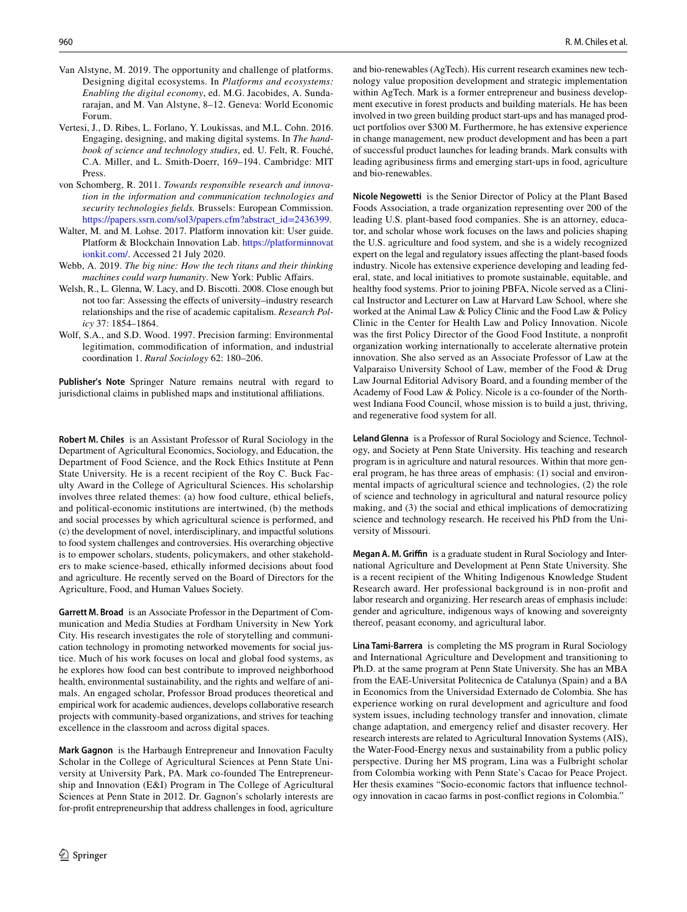- <span id="page-17-5"></span>Van Alstyne, M. 2019. The opportunity and challenge of platforms. Designing digital ecosystems. In *Platforms and ecosystems: Enabling the digital economy*, ed. M.G. Jacobides, A. Sundararajan, and M. Van Alstyne, 8–12. Geneva: World Economic Forum.
- <span id="page-17-2"></span>Vertesi, J., D. Ribes, L. Forlano, Y. Loukissas, and M.L. Cohn. 2016. Engaging, designing, and making digital systems. In *The handbook of science and technology studies*, ed. U. Felt, R. Fouché, C.A. Miller, and L. Smith-Doerr, 169–194. Cambridge: MIT Press.
- <span id="page-17-1"></span>von Schomberg, R. 2011. *Towards responsible research and innovation in the information and communication technologies and security technologies felds.* Brussels: European Commission. [https://papers.ssrn.com/sol3/papers.cfm?abstract\\_id=2436399.](https://papers.ssrn.com/sol3/papers.cfm?abstract_id=2436399)
- <span id="page-17-6"></span>Walter, M. and M. Lohse. 2017. Platform innovation kit: User guide. Platform & Blockchain Innovation Lab. [https://platforminnovat](https://platforminnovationkit.com/) [ionkit.com/.](https://platforminnovationkit.com/) Accessed 21 July 2020.
- <span id="page-17-4"></span>Webb, A. 2019. *The big nine: How the tech titans and their thinking machines could warp humanity*. New York: Public Afairs.
- <span id="page-17-3"></span>Welsh, R., L. Glenna, W. Lacy, and D. Biscotti. 2008. Close enough but not too far: Assessing the efects of university–industry research relationships and the rise of academic capitalism. *Research Policy* 37: 1854–1864.
- <span id="page-17-0"></span>Wolf, S.A., and S.D. Wood. 1997. Precision farming: Environmental legitimation, commodifcation of information, and industrial coordination 1. *Rural Sociology* 62: 180–206.

**Publisher's Note** Springer Nature remains neutral with regard to jurisdictional claims in published maps and institutional affiliations.

**Robert M. Chiles** is an Assistant Professor of Rural Sociology in the Department of Agricultural Economics, Sociology, and Education, the Department of Food Science, and the Rock Ethics Institute at Penn State University. He is a recent recipient of the Roy C. Buck Faculty Award in the College of Agricultural Sciences. His scholarship involves three related themes: (a) how food culture, ethical beliefs, and political-economic institutions are intertwined, (b) the methods and social processes by which agricultural science is performed, and (c) the development of novel, interdisciplinary, and impactful solutions to food system challenges and controversies. His overarching objective is to empower scholars, students, policymakers, and other stakeholders to make science-based, ethically informed decisions about food and agriculture. He recently served on the Board of Directors for the Agriculture, Food, and Human Values Society.

**Garrett M. Broad** is an Associate Professor in the Department of Communication and Media Studies at Fordham University in New York City. His research investigates the role of storytelling and communication technology in promoting networked movements for social justice. Much of his work focuses on local and global food systems, as he explores how food can best contribute to improved neighborhood health, environmental sustainability, and the rights and welfare of animals. An engaged scholar, Professor Broad produces theoretical and empirical work for academic audiences, develops collaborative research projects with community-based organizations, and strives for teaching excellence in the classroom and across digital spaces.

**Mark Gagnon** is the Harbaugh Entrepreneur and Innovation Faculty Scholar in the College of Agricultural Sciences at Penn State University at University Park, PA. Mark co-founded The Entrepreneurship and Innovation (E&I) Program in The College of Agricultural Sciences at Penn State in 2012. Dr. Gagnon's scholarly interests are for-proft entrepreneurship that address challenges in food, agriculture

and bio-renewables (AgTech). His current research examines new technology value proposition development and strategic implementation within AgTech. Mark is a former entrepreneur and business development executive in forest products and building materials. He has been involved in two green building product start-ups and has managed product portfolios over \$300 M. Furthermore, he has extensive experience in change management, new product development and has been a part of successful product launches for leading brands. Mark consults with leading agribusiness frms and emerging start-ups in food, agriculture and bio-renewables.

**Nicole Negowetti** is the Senior Director of Policy at the Plant Based Foods Association, a trade organization representing over 200 of the leading U.S. plant-based food companies. She is an attorney, educator, and scholar whose work focuses on the laws and policies shaping the U.S. agriculture and food system, and she is a widely recognized expert on the legal and regulatory issues afecting the plant-based foods industry. Nicole has extensive experience developing and leading federal, state, and local initiatives to promote sustainable, equitable, and healthy food systems. Prior to joining PBFA, Nicole served as a Clinical Instructor and Lecturer on Law at Harvard Law School, where she worked at the Animal Law & Policy Clinic and the Food Law & Policy Clinic in the Center for Health Law and Policy Innovation. Nicole was the frst Policy Director of the Good Food Institute, a nonproft organization working internationally to accelerate alternative protein innovation. She also served as an Associate Professor of Law at the Valparaiso University School of Law, member of the Food & Drug Law Journal Editorial Advisory Board, and a founding member of the Academy of Food Law & Policy. Nicole is a co-founder of the Northwest Indiana Food Council, whose mission is to build a just, thriving, and regenerative food system for all.

**Leland Glenna** is a Professor of Rural Sociology and Science, Technology, and Society at Penn State University. His teaching and research program is in agriculture and natural resources. Within that more general program, he has three areas of emphasis: (1) social and environmental impacts of agricultural science and technologies, (2) the role of science and technology in agricultural and natural resource policy making, and (3) the social and ethical implications of democratizing science and technology research. He received his PhD from the University of Missouri.

**Megan A. M. Grifn** is a graduate student in Rural Sociology and International Agriculture and Development at Penn State University. She is a recent recipient of the Whiting Indigenous Knowledge Student Research award. Her professional background is in non-proft and labor research and organizing. Her research areas of emphasis include: gender and agriculture, indigenous ways of knowing and sovereignty thereof, peasant economy, and agricultural labor.

**Lina Tami‑Barrera** is completing the MS program in Rural Sociology and International Agriculture and Development and transitioning to Ph.D. at the same program at Penn State University. She has an MBA from the EAE-Universitat Politecnica de Catalunya (Spain) and a BA in Economics from the Universidad Externado de Colombia. She has experience working on rural development and agriculture and food system issues, including technology transfer and innovation, climate change adaptation, and emergency relief and disaster recovery. Her research interests are related to Agricultural Innovation Systems (AIS), the Water-Food-Energy nexus and sustainability from a public policy perspective. During her MS program, Lina was a Fulbright scholar from Colombia working with Penn State's Cacao for Peace Project. Her thesis examines "Socio-economic factors that infuence technology innovation in cacao farms in post-confict regions in Colombia."